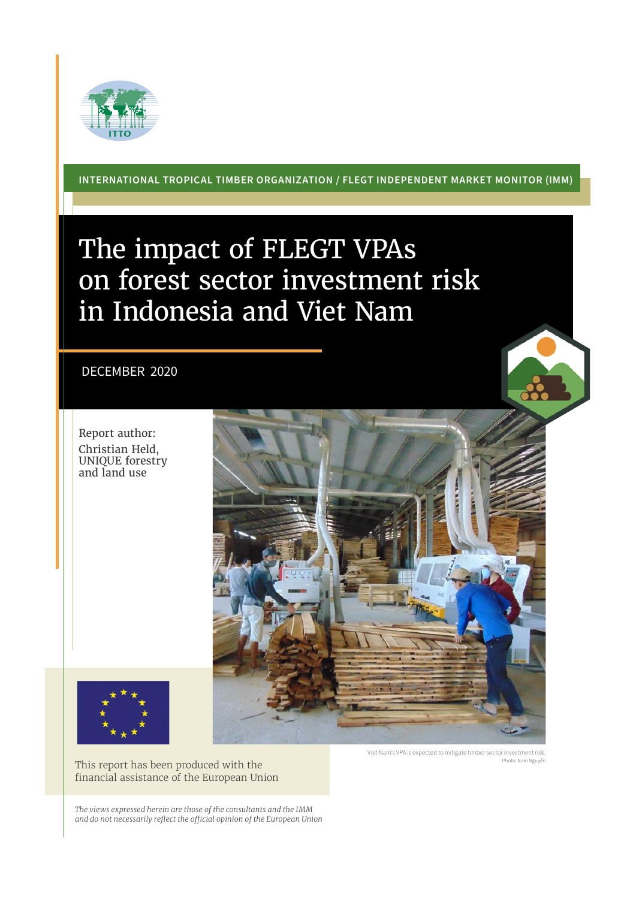

**INTERNATIONAL TROPICAL TIMBER ORGANIZATION / FLEGT INDEPENDENT MARKET MONITOR (IMM)**

## The impact of FLEGT VPAs on forest sector investment risk in Indonesia and Viet Nam

## DECEMBER 2020

Report author: Christian Held, UNIQUE forestry and land use





Viet Nam's VPA is expected to mitigate timber sector investment risk. Photo: Nam Nguyễn

*The views expressed herein are those of the consultants and the IMM and do not necessarily reflect the official opinion of the European Union*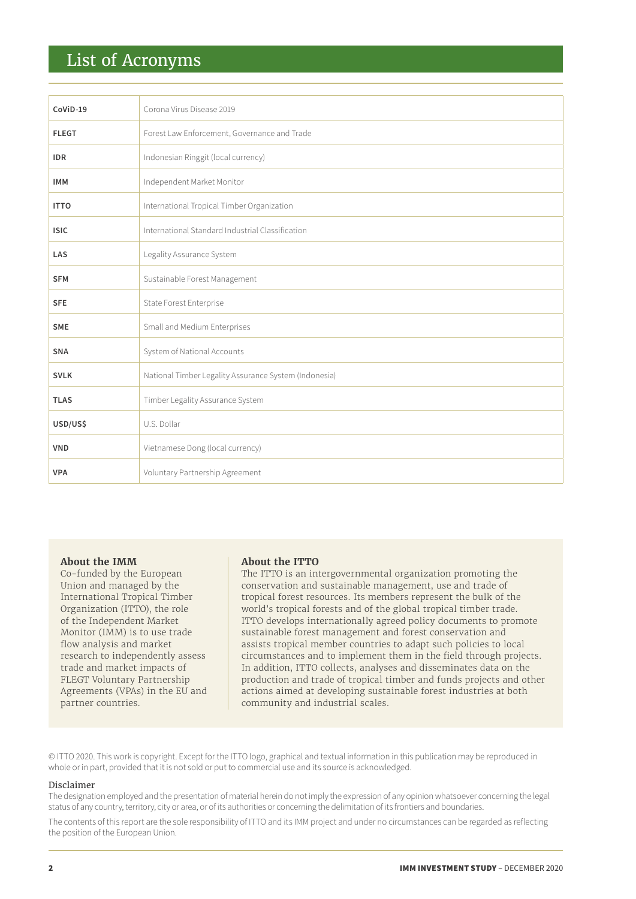## List of Acronyms

| CoViD-19     | Corona Virus Disease 2019                             |
|--------------|-------------------------------------------------------|
| <b>FLEGT</b> | Forest Law Enforcement, Governance and Trade          |
| <b>IDR</b>   | Indonesian Ringgit (local currency)                   |
| <b>IMM</b>   | Independent Market Monitor                            |
| <b>ITTO</b>  | International Tropical Timber Organization            |
| <b>ISIC</b>  | International Standard Industrial Classification      |
| LAS          | Legality Assurance System                             |
| <b>SFM</b>   | Sustainable Forest Management                         |
| <b>SFE</b>   | State Forest Enterprise                               |
| <b>SME</b>   | Small and Medium Enterprises                          |
| <b>SNA</b>   | System of National Accounts                           |
| <b>SVLK</b>  | National Timber Legality Assurance System (Indonesia) |
| <b>TLAS</b>  | Timber Legality Assurance System                      |
| USD/US\$     | U.S. Dollar                                           |
| <b>VND</b>   | Vietnamese Dong (local currency)                      |
| <b>VPA</b>   | Voluntary Partnership Agreement                       |

#### **About the IMM**

Co-funded by the European Union and managed by the International Tropical Timber Organization (ITTO), the role of the Independent Market Monitor (IMM) is to use trade flow analysis and market research to independently assess trade and market impacts of FLEGT Voluntary Partnership Agreements (VPAs) in the EU and partner countries.

#### **About the ITTO**

The ITTO is an intergovernmental organization promoting the conservation and sustainable management, use and trade of tropical forest resources. Its members represent the bulk of the world's tropical forests and of the global tropical timber trade. ITTO develops internationally agreed policy documents to promote sustainable forest management and forest conservation and assists tropical member countries to adapt such policies to local circumstances and to implement them in the field through projects. In addition, ITTO collects, analyses and disseminates data on the production and trade of tropical timber and funds projects and other actions aimed at developing sustainable forest industries at both community and industrial scales.

© ITTO 2020. This work is copyright. Except for the ITTO logo, graphical and textual information in this publication may be reproduced in whole or in part, provided that it is not sold or put to commercial use and its source is acknowledged.

#### Disclaimer

The designation employed and the presentation of material herein do not imply the expression of any opinion whatsoever concerning the legal status of any country, territory, city or area, or of its authorities or concerning the delimitation of its frontiers and boundaries.

The contents of this report are the sole responsibility of ITTO and its IMM project and under no circumstances can be regarded as reflecting the position of the European Union.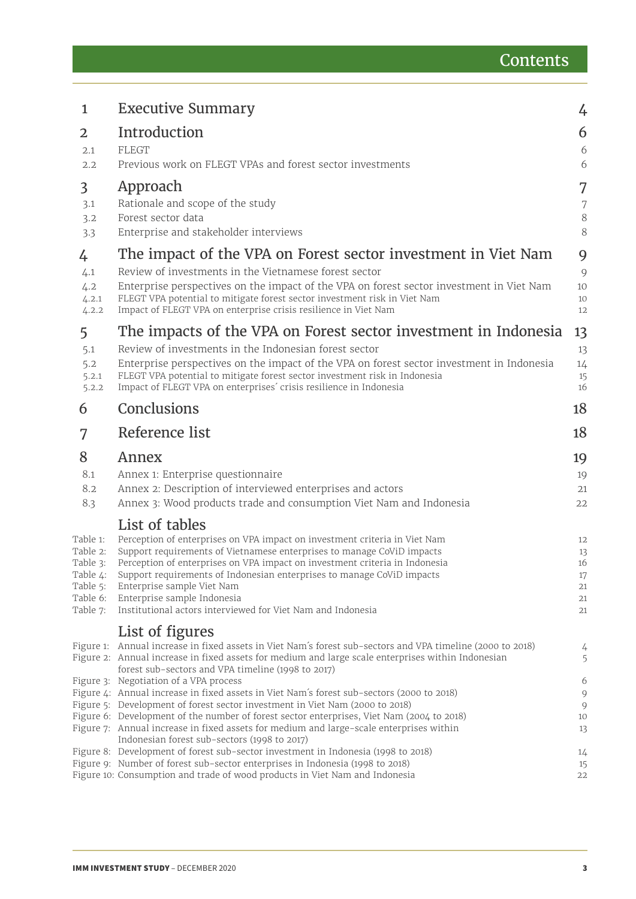| $\mathbf{1}$         | <b>Executive Summary</b>                                                                                                                                           | 4            |
|----------------------|--------------------------------------------------------------------------------------------------------------------------------------------------------------------|--------------|
| 2                    | Introduction                                                                                                                                                       | 6            |
| 2.1                  | <b>FLEGT</b>                                                                                                                                                       | 6            |
| 2.2                  | Previous work on FLEGT VPAs and forest sector investments                                                                                                          | 6            |
| 3                    | Approach                                                                                                                                                           | 7            |
| 3.1                  | Rationale and scope of the study                                                                                                                                   | 7            |
| 3.2                  | Forest sector data                                                                                                                                                 | $8\,$        |
| 3.3                  | Enterprise and stakeholder interviews                                                                                                                              | 8            |
| 4                    | The impact of the VPA on Forest sector investment in Viet Nam                                                                                                      | 9            |
| 4.1                  | Review of investments in the Vietnamese forest sector                                                                                                              | 9            |
| 4.2                  | Enterprise perspectives on the impact of the VPA on forest sector investment in Viet Nam                                                                           | 10           |
| 4.2.1                | FLEGT VPA potential to mitigate forest sector investment risk in Viet Nam                                                                                          | 10           |
| 4.2.2                | Impact of FLEGT VPA on enterprise crisis resilience in Viet Nam                                                                                                    | 12           |
| 5                    | The impacts of the VPA on Forest sector investment in Indonesia                                                                                                    | 13           |
| 5.1                  | Review of investments in the Indonesian forest sector                                                                                                              | 13           |
| 5.2                  | Enterprise perspectives on the impact of the VPA on forest sector investment in Indonesia                                                                          | 14           |
| 5.2.1<br>5.2.2       | FLEGT VPA potential to mitigate forest sector investment risk in Indonesia<br>Impact of FLEGT VPA on enterprises' crisis resilience in Indonesia                   | 15<br>16     |
| 6                    | Conclusions                                                                                                                                                        | 18           |
|                      |                                                                                                                                                                    |              |
| 7                    | Reference list                                                                                                                                                     | 18           |
| 8                    | Annex                                                                                                                                                              | 19           |
| 8.1                  | Annex 1: Enterprise questionnaire                                                                                                                                  | 19           |
| 8.2                  | Annex 2: Description of interviewed enterprises and actors                                                                                                         | 21           |
| 8.3                  | Annex 3: Wood products trade and consumption Viet Nam and Indonesia                                                                                                | 22           |
|                      | List of tables                                                                                                                                                     |              |
| Table 1:             | Perception of enterprises on VPA impact on investment criteria in Viet Nam                                                                                         | 12           |
| Table 2:             | Support requirements of Vietnamese enterprises to manage CoViD impacts                                                                                             | 13           |
| Table 3:             | Perception of enterprises on VPA impact on investment criteria in Indonesia                                                                                        | 16           |
| Table 4:<br>Table 5: | Support requirements of Indonesian enterprises to manage CoViD impacts<br>Enterprise sample Viet Nam                                                               | $17\,$<br>21 |
| Table 6:             | Enterprise sample Indonesia                                                                                                                                        | 21           |
| Table 7:             | Institutional actors interviewed for Viet Nam and Indonesia                                                                                                        | 21           |
|                      | List of figures                                                                                                                                                    |              |
|                      | Figure 1: Annual increase in fixed assets in Viet Nam's forest sub-sectors and VPA timeline (2000 to 2018)                                                         | 4            |
|                      | Figure 2: Annual increase in fixed assets for medium and large scale enterprises within Indonesian                                                                 | 5            |
|                      | forest sub-sectors and VPA timeline (1998 to 2017)                                                                                                                 |              |
|                      | Figure 3: Negotiation of a VPA process<br>Figure 4: Annual increase in fixed assets in Viet Nam's forest sub-sectors (2000 to 2018)                                | 6<br>9       |
|                      | Figure 5: Development of forest sector investment in Viet Nam (2000 to 2018)                                                                                       | 9            |
|                      | Figure 6: Development of the number of forest sector enterprises, Viet Nam (2004 to 2018)                                                                          | 10           |
|                      | Figure 7: Annual increase in fixed assets for medium and large-scale enterprises within                                                                            | 13           |
|                      | Indonesian forest sub-sectors (1998 to 2017)                                                                                                                       |              |
|                      |                                                                                                                                                                    |              |
|                      | Figure 8: Development of forest sub-sector investment in Indonesia (1998 to 2018)<br>Figure 9: Number of forest sub-sector enterprises in Indonesia (1998 to 2018) | 14<br>15     |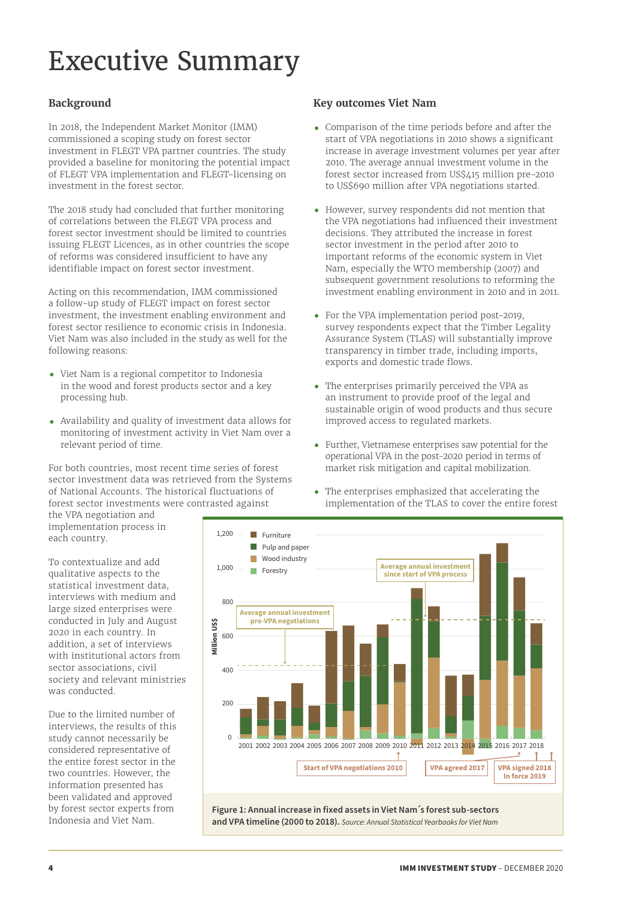# <span id="page-3-0"></span>Executive Summary

## **Background**

In 2018, the Independent Market Monitor (IMM) commissioned a scoping study on forest sector investment in FLEGT VPA partner countries. The study provided a baseline for monitoring the potential impact of FLEGT VPA implementation and FLEGT-licensing on investment in the forest sector.

The 2018 study had concluded that further monitoring of correlations between the FLEGT VPA process and forest sector investment should be limited to countries issuing FLEGT Licences, as in other countries the scope of reforms was considered insufficient to have any identifiable impact on forest sector investment.

Acting on this recommendation, IMM commissioned a follow-up study of FLEGT impact on forest sector investment, the investment enabling environment and forest sector resilience to economic crisis in Indonesia. Viet Nam was also included in the study as well for the following reasons:

- **•** Viet Nam is a regional competitor to Indonesia in the wood and forest products sector and a key processing hub.
- **•** Availability and quality of investment data allows for monitoring of investment activity in Viet Nam over a relevant period of time.

For both countries, most recent time series of forest sector investment data was retrieved from the Systems of National Accounts. The historical fluctuations of forest sector investments were contrasted against

## **Key outcomes Viet Nam**

- **•** Comparison of the time periods before and after the start of VPA negotiations in 2010 shows a significant increase in average investment volumes per year after 2010. The average annual investment volume in the forest sector increased from US\$415 million pre-2010 to US\$690 million after VPA negotiations started.
- **•** However, survey respondents did not mention that the VPA negotiations had influenced their investment decisions. They attributed the increase in forest sector investment in the period after 2010 to important reforms of the economic system in Viet Nam, especially the WTO membership (2007) and subsequent government resolutions to reforming the investment enabling environment in 2010 and in 2011.
- **•** For the VPA implementation period post-2019, survey respondents expect that the Timber Legality Assurance System (TLAS) will substantially improve transparency in timber trade, including imports, exports and domestic trade flows.
- **•** The enterprises primarily perceived the VPA as an instrument to provide proof of the legal and sustainable origin of wood products and thus secure improved access to regulated markets.
- **•** Further, Vietnamese enterprises saw potential for the operational VPA in the post-2020 period in terms of market risk mitigation and capital mobilization.
- **•** The enterprises emphasized that accelerating the implementation of the TLAS to cover the entire forest

the VPA negotiation and implementation process in each country.

To contextualize and add qualitative aspects to the statistical investment data, interviews with medium and large sized enterprises were conducted in July and August 2020 in each country. In addition, a set of interviews with institutional actors from sector associations, civil society and relevant ministries was conducted.

Due to the limited number of interviews, the results of this study cannot necessarily be considered representative of the entire forest sector in the two countries. However, the information presented has been validated and approved by forest sector experts from Indonesia and Viet Nam.

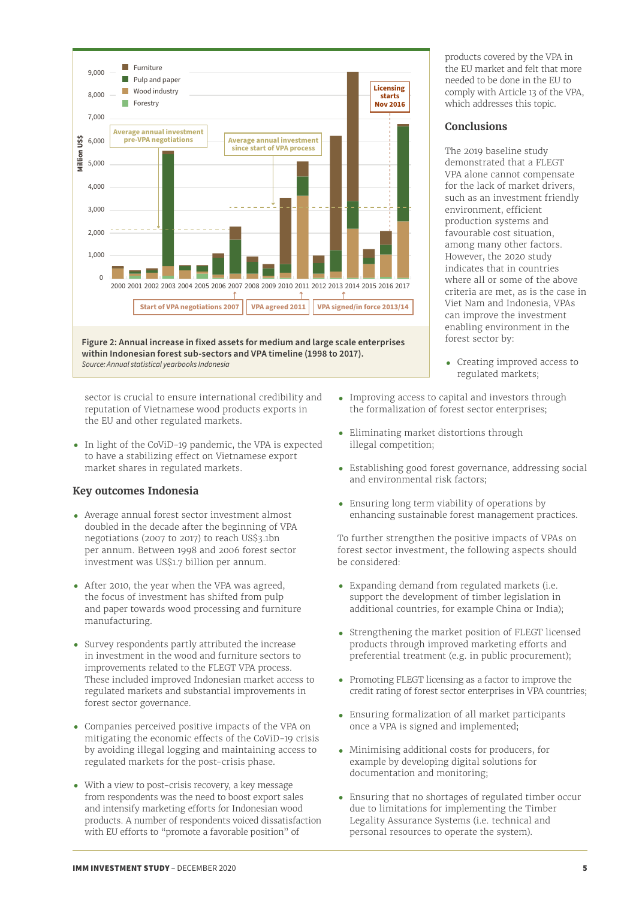<span id="page-4-0"></span>

sector is crucial to ensure international credibility and reputation of Vietnamese wood products exports in the EU and other regulated markets.

**•** In light of the CoViD-19 pandemic, the VPA is expected to have a stabilizing effect on Vietnamese export market shares in regulated markets.

## **Key outcomes Indonesia**

- **•** Average annual forest sector investment almost doubled in the decade after the beginning of VPA negotiations (2007 to 2017) to reach US\$3.1bn per annum. Between 1998 and 2006 forest sector investment was US\$1.7 billion per annum.
- **•** After 2010, the year when the VPA was agreed, the focus of investment has shifted from pulp and paper towards wood processing and furniture manufacturing.
- **•** Survey respondents partly attributed the increase in investment in the wood and furniture sectors to improvements related to the FLEGT VPA process. These included improved Indonesian market access to regulated markets and substantial improvements in forest sector governance.
- **•** Companies perceived positive impacts of the VPA on mitigating the economic effects of the CoViD-19 crisis by avoiding illegal logging and maintaining access to regulated markets for the post-crisis phase.
- **•** With a view to post-crisis recovery, a key message from respondents was the need to boost export sales and intensify marketing efforts for Indonesian wood products. A number of respondents voiced dissatisfaction with EU efforts to "promote a favorable position" of

products covered by the VPA in the EU market and felt that more needed to be done in the EU to comply with Article 13 of the VPA, which addresses this topic.

#### **Conclusions**

The 2019 baseline study demonstrated that a FLEGT VPA alone cannot compensate for the lack of market drivers, such as an investment friendly environment, efficient production systems and favourable cost situation, among many other factors. However, the 2020 study indicates that in countries where all or some of the above criteria are met, as is the case in Viet Nam and Indonesia, VPAs can improve the investment enabling environment in the forest sector by:

- **•** Creating improved access to regulated markets;
- **•** Improving access to capital and investors through the formalization of forest sector enterprises;
- **•** Eliminating market distortions through illegal competition;
- **•** Establishing good forest governance, addressing social and environmental risk factors;
- **•** Ensuring long term viability of operations by enhancing sustainable forest management practices.

To further strengthen the positive impacts of VPAs on forest sector investment, the following aspects should be considered:

- **•** Expanding demand from regulated markets (i.e. support the development of timber legislation in additional countries, for example China or India);
- **•** Strengthening the market position of FLEGT licensed products through improved marketing efforts and preferential treatment (e.g. in public procurement);
- **•** Promoting FLEGT licensing as a factor to improve the credit rating of forest sector enterprises in VPA countries;
- **•** Ensuring formalization of all market participants once a VPA is signed and implemented;
- **•** Minimising additional costs for producers, for example by developing digital solutions for documentation and monitoring;
- **•** Ensuring that no shortages of regulated timber occur due to limitations for implementing the Timber Legality Assurance Systems (i.e. technical and personal resources to operate the system).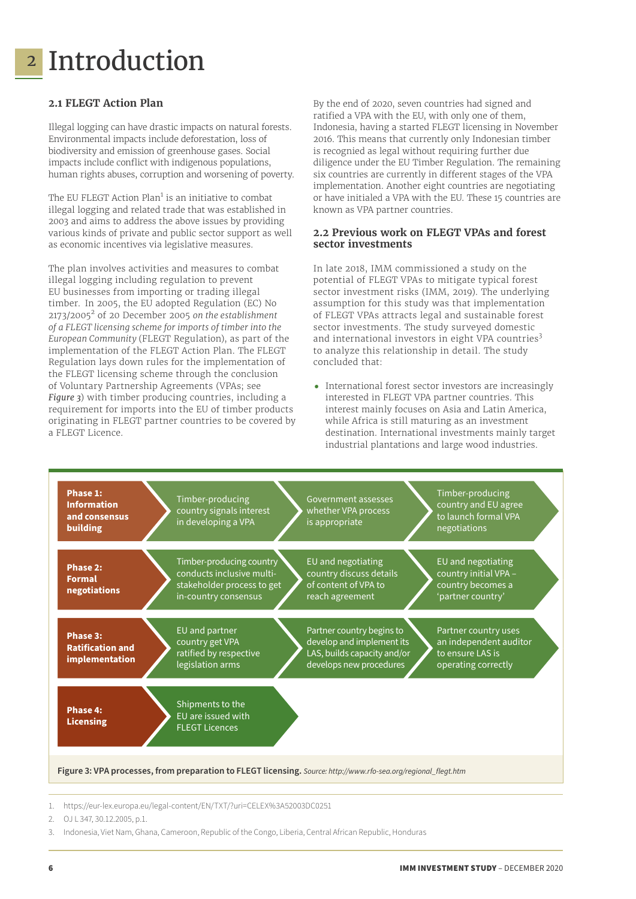## <span id="page-5-0"></span><mark>2</mark> Introduction

## **2.1 FLEGT Action Plan**

Illegal logging can have drastic impacts on natural forests. Environmental impacts include deforestation, loss of biodiversity and emission of greenhouse gases. Social impacts include conflict with indigenous populations, human rights abuses, corruption and worsening of poverty.

The EU FLEGT Action Plan<sup>1</sup> is an initiative to combat illegal logging and related trade that was established in 2003 and aims to address the above issues by providing various kinds of private and public sector support as well as economic incentives via legislative measures.

The plan involves activities and measures to combat illegal logging including regulation to prevent EU businesses from importing or trading illegal timber. In 2005, the EU adopted Regulation (EC) No 2173/2005<sup>2</sup> of 20 December 2005 *on the establishment of a FLEGT licensing scheme for imports of timber into the European Community* (FLEGT Regulation), as part of the implementation of the FLEGT Action Plan. The FLEGT Regulation lays down rules for the implementation of the FLEGT licensing scheme through the conclusion of Voluntary Partnership Agreements (VPAs; see *Figure 3*) with timber producing countries, including a requirement for imports into the EU of timber products originating in FLEGT partner countries to be covered by a FLEGT Licence.

By the end of 2020, seven countries had signed and ratified a VPA with the EU, with only one of them, Indonesia, having a started FLEGT licensing in November 2016. This means that currently only Indonesian timber is recognied as legal without requiring further due diligence under the EU Timber Regulation. The remaining six countries are currently in different stages of the VPA implementation. Another eight countries are negotiating or have initialed a VPA with the EU. These 15 countries are known as VPA partner countries.

## **2.2 Previous work on FLEGT VPAs and forest sector investments**

In late 2018, IMM commissioned a study on the potential of FLEGT VPAs to mitigate typical forest sector investment risks (IMM, 2019). The underlying assumption for this study was that implementation of FLEGT VPAs attracts legal and sustainable forest sector investments. The study surveyed domestic and international investors in eight VPA countries<sup>3</sup> to analyze this relationship in detail. The study concluded that:

**•** International forest sector investors are increasingly interested in FLEGT VPA partner countries. This interest mainly focuses on Asia and Latin America, while Africa is still maturing as an investment destination. International investments mainly target industrial plantations and large wood industries.



1. https://eur-lex.europa.eu/legal-content/EN/TXT/?uri=CELEX%3A52003DC0251

<sup>2.</sup> OJ L 347, 30.12.2005, p.1.

<sup>3.</sup> Indonesia, Viet Nam, Ghana, Cameroon, Republic of the Congo, Liberia, Central African Republic, Honduras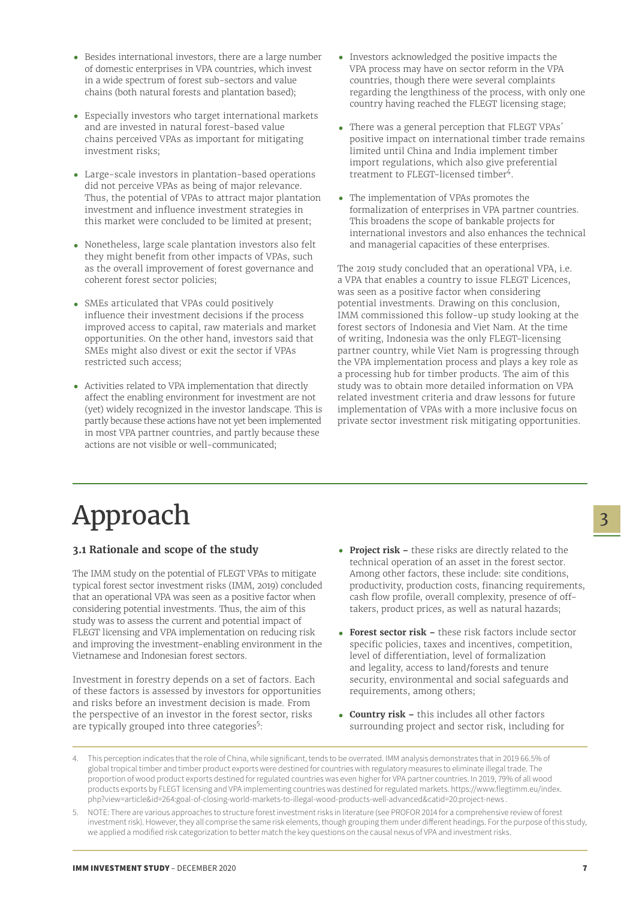- <span id="page-6-0"></span>**•** Besides international investors, there are a large number of domestic enterprises in VPA countries, which invest in a wide spectrum of forest sub-sectors and value chains (both natural forests and plantation based);
- **•** Especially investors who target international markets and are invested in natural forest-based value chains perceived VPAs as important for mitigating investment risks;
- **•** Large-scale investors in plantation-based operations did not perceive VPAs as being of major relevance. Thus, the potential of VPAs to attract major plantation investment and influence investment strategies in this market were concluded to be limited at present;
- **•** Nonetheless, large scale plantation investors also felt they might benefit from other impacts of VPAs, such as the overall improvement of forest governance and coherent forest sector policies;
- **•** SMEs articulated that VPAs could positively influence their investment decisions if the process improved access to capital, raw materials and market opportunities. On the other hand, investors said that SMEs might also divest or exit the sector if VPAs restricted such access;
- **•** Activities related to VPA implementation that directly affect the enabling environment for investment are not (yet) widely recognized in the investor landscape. This is partly because these actions have not yet been implemented in most VPA partner countries, and partly because these actions are not visible or well-communicated;
- **•** Investors acknowledged the positive impacts the VPA process may have on sector reform in the VPA countries, though there were several complaints regarding the lengthiness of the process, with only one country having reached the FLEGT licensing stage;
- **•** There was a general perception that FLEGT VPAs´ positive impact on international timber trade remains limited until China and India implement timber import regulations, which also give preferential treatment to FLEGT-licensed timber<sup>4</sup>.
- **•** The implementation of VPAs promotes the formalization of enterprises in VPA partner countries. This broadens the scope of bankable projects for international investors and also enhances the technical and managerial capacities of these enterprises.

The 2019 study concluded that an operational VPA, i.e. a VPA that enables a country to issue FLEGT Licences, was seen as a positive factor when considering potential investments. Drawing on this conclusion, IMM commissioned this follow-up study looking at the forest sectors of Indonesia and Viet Nam. At the time of writing, Indonesia was the only FLEGT-licensing partner country, while Viet Nam is progressing through the VPA implementation process and plays a key role as a processing hub for timber products. The aim of this study was to obtain more detailed information on VPA related investment criteria and draw lessons for future implementation of VPAs with a more inclusive focus on private sector investment risk mitigating opportunities.

# Approach

## **3.1 Rationale and scope of the study**

The IMM study on the potential of FLEGT VPAs to mitigate typical forest sector investment risks (IMM, 2019) concluded that an operational VPA was seen as a positive factor when considering potential investments. Thus, the aim of this study was to assess the current and potential impact of FLEGT licensing and VPA implementation on reducing risk and improving the investment-enabling environment in the Vietnamese and Indonesian forest sectors.

Investment in forestry depends on a set of factors. Each of these factors is assessed by investors for opportunities and risks before an investment decision is made. From the perspective of an investor in the forest sector, risks are typically grouped into three categories<sup>5</sup>:

- **• Project risk –** these risks are directly related to the technical operation of an asset in the forest sector. Among other factors, these include: site conditions, productivity, production costs, financing requirements, cash flow profile, overall complexity, presence of offtakers, product prices, as well as natural hazards;
- **• Forest sector risk** these risk factors include sector specific policies, taxes and incentives, competition, level of differentiation, level of formalization and legality, access to land/forests and tenure security, environmental and social safeguards and requirements, among others;
- **• Country risk** this includes all other factors surrounding project and sector risk, including for
- 4. This perception indicates that the role of China, while significant, tends to be overrated. IMM analysis demonstrates that in 2019 66.5% of global tropical timber and timber product exports were destined for countries with regulatory measures to eliminate illegal trade. The proportion of wood product exports destined for regulated countries was even higher for VPA partner countries. In 2019, 79% of all wood products exports by FLEGT licensing and VPA implementing countries was destined for regulated markets. https://www.flegtimm.eu/index. php?view=article&id=264:goal-of-closing-world-markets-to-illegal-wood-products-well-advanced&catid=20:project-news .
- NOTE: There are various approaches to structure forest investment risks in literature (see PROFOR 2014 for a comprehensive review of forest investment risk). However, they all comprise the same risk elements, though grouping them under different headings. For the purpose of this study, we applied a modified risk categorization to better match the key questions on the causal nexus of VPA and investment risks.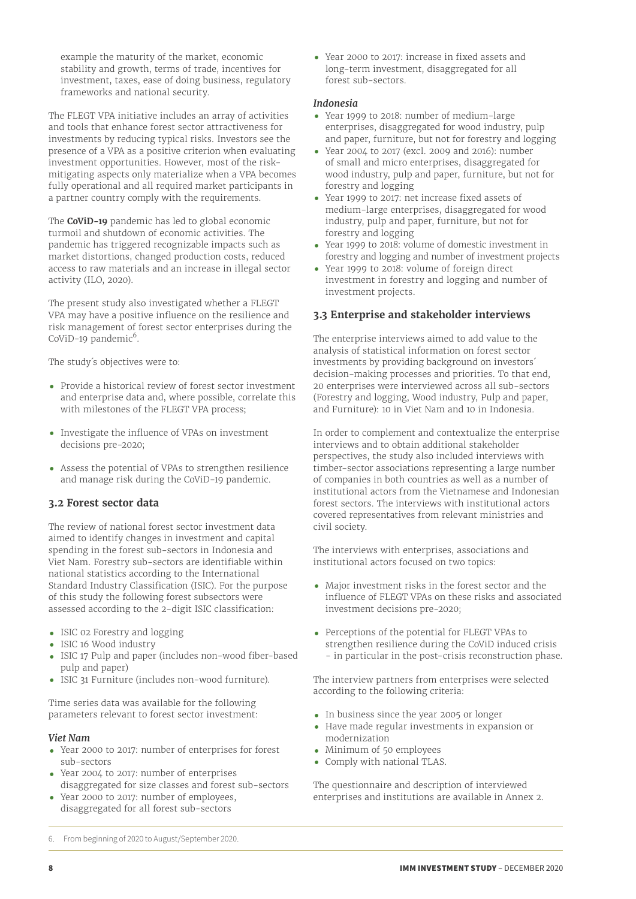<span id="page-7-0"></span>example the maturity of the market, economic stability and growth, terms of trade, incentives for investment, taxes, ease of doing business, regulatory frameworks and national security.

The FLEGT VPA initiative includes an array of activities and tools that enhance forest sector attractiveness for investments by reducing typical risks. Investors see the presence of a VPA as a positive criterion when evaluating investment opportunities. However, most of the riskmitigating aspects only materialize when a VPA becomes fully operational and all required market participants in a partner country comply with the requirements.

The **CoViD-19** pandemic has led to global economic turmoil and shutdown of economic activities. The pandemic has triggered recognizable impacts such as market distortions, changed production costs, reduced access to raw materials and an increase in illegal sector activity (ILO, 2020).

The present study also investigated whether a FLEGT VPA may have a positive influence on the resilience and risk management of forest sector enterprises during the CoViD-19 pandemic<sup>6</sup>.

The study´s objectives were to:

- **•** Provide a historical review of forest sector investment and enterprise data and, where possible, correlate this with milestones of the FLEGT VPA process;
- **•** Investigate the influence of VPAs on investment decisions pre-2020;
- **•** Assess the potential of VPAs to strengthen resilience and manage risk during the CoViD-19 pandemic.

## **3.2 Forest sector data**

The review of national forest sector investment data aimed to identify changes in investment and capital spending in the forest sub-sectors in Indonesia and Viet Nam. Forestry sub-sectors are identifiable within national statistics according to the International Standard Industry Classification (ISIC). For the purpose of this study the following forest subsectors were assessed according to the 2-digit ISIC classification:

- **•** ISIC 02 Forestry and logging
- **•** ISIC 16 Wood industry
- **•** ISIC 17 Pulp and paper (includes non-wood fiber-based pulp and paper)
- **•** ISIC 31 Furniture (includes non-wood furniture).

Time series data was available for the following parameters relevant to forest sector investment:

#### *Viet Nam*

- **•** Year 2000 to 2017: number of enterprises for forest sub-sectors
- **•** Year 2004 to 2017: number of enterprises disaggregated for size classes and forest sub-sectors
- Year 2000 to 2017: number of employees, disaggregated for all forest sub-sectors

**•** Year 2000 to 2017: increase in fixed assets and long-term investment, disaggregated for all forest sub-sectors.

#### *Indonesia*

- **•** Year 1999 to 2018: number of medium-large enterprises, disaggregated for wood industry, pulp and paper, furniture, but not for forestry and logging
- **•** Year 2004 to 2017 (excl. 2009 and 2016): number of small and micro enterprises, disaggregated for wood industry, pulp and paper, furniture, but not for forestry and logging
- **•** Year 1999 to 2017: net increase fixed assets of medium-large enterprises, disaggregated for wood industry, pulp and paper, furniture, but not for forestry and logging
- **•** Year 1999 to 2018: volume of domestic investment in forestry and logging and number of investment projects
- **•** Year 1999 to 2018: volume of foreign direct investment in forestry and logging and number of investment projects.

## **3.3 Enterprise and stakeholder interviews**

The enterprise interviews aimed to add value to the analysis of statistical information on forest sector investments by providing background on investors´ decision-making processes and priorities. To that end, 20 enterprises were interviewed across all sub-sectors (Forestry and logging, Wood industry, Pulp and paper, and Furniture): 10 in Viet Nam and 10 in Indonesia.

In order to complement and contextualize the enterprise interviews and to obtain additional stakeholder perspectives, the study also included interviews with timber-sector associations representing a large number of companies in both countries as well as a number of institutional actors from the Vietnamese and Indonesian forest sectors. The interviews with institutional actors covered representatives from relevant ministries and civil society.

The interviews with enterprises, associations and institutional actors focused on two topics:

- **•** Major investment risks in the forest sector and the influence of FLEGT VPAs on these risks and associated investment decisions pre-2020;
- **•** Perceptions of the potential for FLEGT VPAs to strengthen resilience during the CoViD induced crisis - in particular in the post-crisis reconstruction phase.

The interview partners from enterprises were selected according to the following criteria:

- **•** In business since the year 2005 or longer
- **•** Have made regular investments in expansion or modernization
- **•** Minimum of 50 employees
- **•** Comply with national TLAS.

The questionnaire and description of interviewed enterprises and institutions are available in Annex 2.

6. From beginning of 2020 to August/September 2020.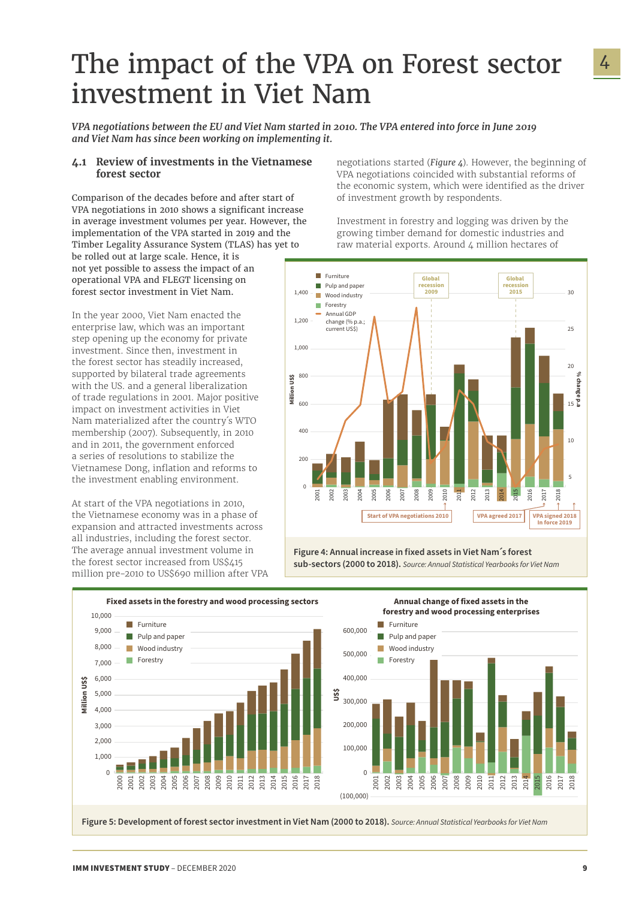## <span id="page-8-0"></span>The impact of the VPA on Forest sector investment in Viet Nam

*VPA negotiations between the EU and Viet Nam started in 2010. The VPA entered into force in June 2019 and Viet Nam has since been working on implementing it.*

#### **4.1 Review of investments in the Vietnamese forest sector**

Comparison of the decades before and after start of VPA negotiations in 2010 shows a significant increase in average investment volumes per year. However, the implementation of the VPA started in 2019 and the Timber Legality Assurance System (TLAS) has yet to be rolled out at large scale. Hence, it is not yet possible to assess the impact of an operational VPA and FLEGT licensing on forest sector investment in Viet Nam.

In the year 2000, Viet Nam enacted the enterprise law, which was an important step opening up the economy for private investment. Since then, investment in the forest sector has steadily increased, supported by bilateral trade agreements with the US. and a general liberalization of trade regulations in 2001. Major positive impact on investment activities in Viet Nam materialized after the country´s WTO membership (2007). Subsequently, in 2010 and in 2011, the government enforced a series of resolutions to stabilize the Vietnamese Dong, inflation and reforms to the investment enabling environment.

At start of the VPA negotiations in 2010, the Vietnamese economy was in a phase of expansion and attracted investments across all industries, including the forest sector. The average annual investment volume in the forest sector increased from US\$415 million pre-2010 to US\$690 million after VPA negotiations started (*[Figure 4](#page-9-1)*). However, the beginning of VPA negotiations coincided with substantial reforms of the economic system, which were identified as the driver of investment growth by respondents.

Investment in forestry and logging was driven by the growing timber demand for domestic industries and raw material exports. Around 4 million hectares of



**Figure 4: Annual increase in fixed assets in Viet Nam´s forest sub-sectors (2000 to 2018).** *Source: Annual Statistical Yearbooks for Viet Nam*







**Annual change of fixed assets in the forestry and wood processing enterprises** 

**Figure 5: Development of forest sector investment in Viet Nam (2000 to 2018).** *Source: Annual Statistical Yearbooks for Viet Nam*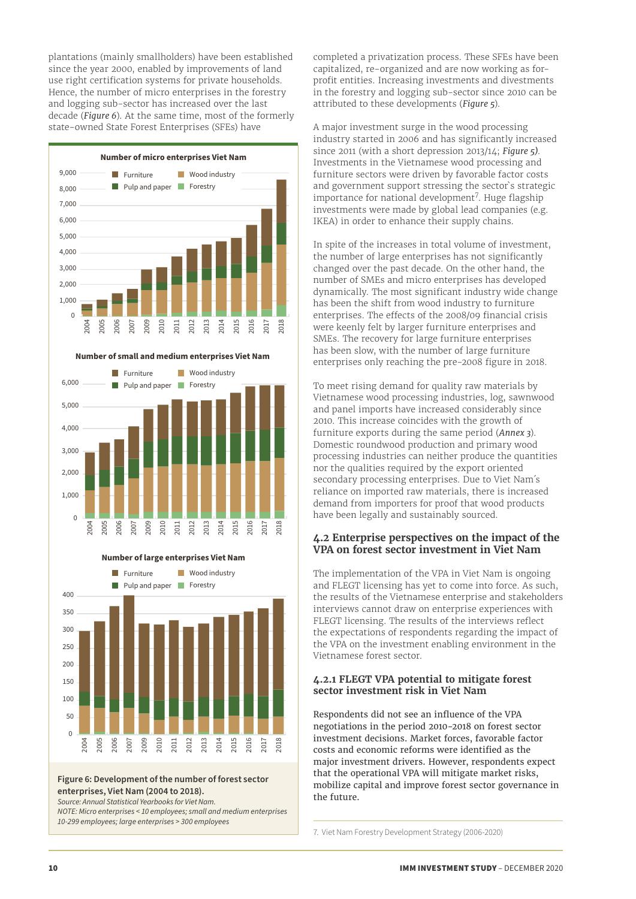<span id="page-9-0"></span>plantations (mainly smallholders) have been established since the year 2000, enabled by improvements of land use right certification systems for private households. Hence, the number of micro enterprises in the forestry and logging sub-sector has increased over the last decade (*Figure 6*). At the same time, most of the formerly state-owned State Forest Enterprises (SFEs) have



**Number of small and medium enterprises Viet Nam** 



2004 2005 2006 2007 2009 2010 2011 2012 2013 2014 2015 2016 2017 2018  $\Omega$  50  $100$  150  $200$  250 300 350  $400$ **Furniture** Pulp and paper **Wood industry Forestry** 

**Number of large enterprises Viet Nam**

#### **Figure 6: Development of the number of forest sector enterprises, Viet Nam (2004 to 2018).**

*Source: Annual Statistical Yearbooks for Viet Nam.* 

*NOTE: Micro enterprises < 10 employees; small and medium enterprises 10-299 employees; large enterprises > 300 employees*

completed a privatization process. These SFEs have been capitalized, re-organized and are now working as forprofit entities. Increasing investments and divestments in the forestry and logging sub-sector since 2010 can be attributed to these developments (*Figure 5*).

A major investment surge in the wood processing industry started in 2006 and has significantly increased since 2011 (with a short depression 2013/14; *Figure 5)*. Investments in the Vietnamese wood processing and furniture sectors were driven by favorable factor costs and government support stressing the sector`s strategic importance for national development<sup>7</sup>. Huge flagship investments were made by global lead companies (e.g. IKEA) in order to enhance their supply chains.

In spite of the increases in total volume of investment, the number of large enterprises has not significantly changed over the past decade. On the other hand, the number of SMEs and micro enterprises has developed dynamically. The most significant industry wide change has been the shift from wood industry to furniture enterprises. The effects of the 2008/09 financial crisis were keenly felt by larger furniture enterprises and SMEs. The recovery for large furniture enterprises has been slow, with the number of large furniture enterprises only reaching the pre-2008 figure in 2018.

To meet rising demand for quality raw materials by Vietnamese wood processing industries, log, sawnwood and panel imports have increased considerably since 2010. This increase coincides with the growth of furniture exports during the same period (*Annex 3*). Domestic roundwood production and primary wood processing industries can neither produce the quantities nor the qualities required by the export oriented secondary processing enterprises. Due to Viet Nam´s reliance on imported raw materials, there is increased demand from importers for proof that wood products have been legally and sustainably sourced.

#### <span id="page-9-1"></span>**4.2 Enterprise perspectives on the impact of the VPA on forest sector investment in Viet Nam**

The implementation of the VPA in Viet Nam is ongoing and FLEGT licensing has yet to come into force. As such, the results of the Vietnamese enterprise and stakeholders interviews cannot draw on enterprise experiences with FLEGT licensing. The results of the interviews reflect the expectations of respondents regarding the impact of the VPA on the investment enabling environment in the Vietnamese forest sector.

#### **4.2.1 FLEGT VPA potential to mitigate forest sector investment risk in Viet Nam**

Respondents did not see an influence of the VPA negotiations in the period 2010-2018 on forest sector investment decisions. Market forces, favorable factor costs and economic reforms were identified as the major investment drivers. However, respondents expect that the operational VPA will mitigate market risks, mobilize capital and improve forest sector governance in the future.

7. Viet Nam Forestry Development Strategy (2006-2020)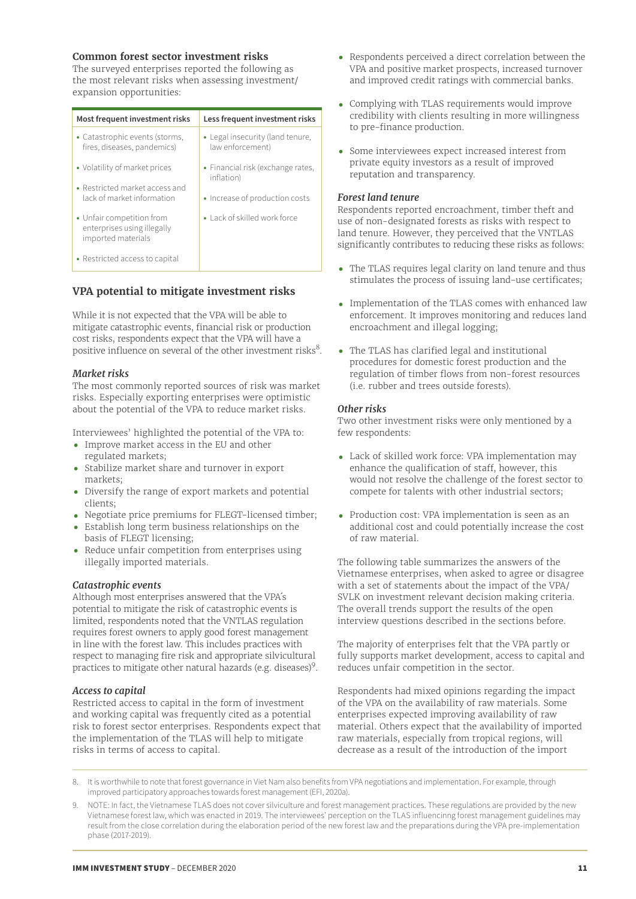#### **Common forest sector investment risks**

The surveyed enterprises reported the following as the most relevant risks when assessing investment/ expansion opportunities:

| Most frequent investment risks                                                 | Less frequent investment risks                       |
|--------------------------------------------------------------------------------|------------------------------------------------------|
| • Catastrophic events (storms,<br>fires, diseases, pandemics)                  | • Legal insecurity (land tenure,<br>law enforcement) |
| • Volatility of market prices                                                  | • Financial risk (exchange rates,<br>inflation)      |
| • Restricted market access and<br>lack of market information                   | • Increase of production costs                       |
| • Unfair competition from<br>enterprises using illegally<br>imported materials | • Lack of skilled work force                         |
| • Restricted access to capital                                                 |                                                      |

## **VPA potential to mitigate investment risks**

While it is not expected that the VPA will be able to mitigate catastrophic events, financial risk or production cost risks, respondents expect that the VPA will have a positive influence on several of the other investment risks $^{8}$ .

#### *Market risks*

The most commonly reported sources of risk was market risks. Especially exporting enterprises were optimistic about the potential of the VPA to reduce market risks.

Interviewees' highlighted the potential of the VPA to:

- **•** Improve market access in the EU and other regulated markets;
- **•** Stabilize market share and turnover in export markets;
- **•** Diversify the range of export markets and potential clients;
- **•** Negotiate price premiums for FLEGT-licensed timber;
- **•** Establish long term business relationships on the basis of FLEGT licensing;
- **•** Reduce unfair competition from enterprises using illegally imported materials.

#### *Catastrophic events*

Although most enterprises answered that the VPA´s potential to mitigate the risk of catastrophic events is limited, respondents noted that the VNTLAS regulation requires forest owners to apply good forest management in line with the forest law. This includes practices with respect to managing fire risk and appropriate silvicultural practices to mitigate other natural hazards (e.g. diseases) $9$ .

#### *Access to capital*

Restricted access to capital in the form of investment and working capital was frequently cited as a potential risk to forest sector enterprises. Respondents expect that the implementation of the TLAS will help to mitigate risks in terms of access to capital.

- **•** Respondents perceived a direct correlation between the VPA and positive market prospects, increased turnover and improved credit ratings with commercial banks.
- **•** Complying with TLAS requirements would improve credibility with clients resulting in more willingness to pre-finance production.
- **•** Some interviewees expect increased interest from private equity investors as a result of improved reputation and transparency.

#### *Forest land tenure*

Respondents reported encroachment, timber theft and use of non-designated forests as risks with respect to land tenure. However, they perceived that the VNTLAS significantly contributes to reducing these risks as follows:

- **•** The TLAS requires legal clarity on land tenure and thus stimulates the process of issuing land-use certificates;
- Implementation of the TLAS comes with enhanced law enforcement. It improves monitoring and reduces land encroachment and illegal logging;
- The TLAS has clarified legal and institutional procedures for domestic forest production and the regulation of timber flows from non-forest resources (i.e. rubber and trees outside forests).

#### *Other risks*

Two other investment risks were only mentioned by a few respondents:

- Lack of skilled work force: VPA implementation may enhance the qualification of staff, however, this would not resolve the challenge of the forest sector to compete for talents with other industrial sectors;
- Production cost: VPA implementation is seen as an additional cost and could potentially increase the cost of raw material.

The following table summarizes the answers of the Vietnamese enterprises, when asked to agree or disagree with a set of statements about the impact of the VPA/ SVLK on investment relevant decision making criteria. The overall trends support the results of the open interview questions described in the sections before.

The majority of enterprises felt that the VPA partly or fully supports market development, access to capital and reduces unfair competition in the sector.

Respondents had mixed opinions regarding the impact of the VPA on the availability of raw materials. Some enterprises expected improving availability of raw material. Others expect that the availability of imported raw materials, especially from tropical regions, will decrease as a result of the introduction of the import

8. It is worthwhile to note that forest governance in Viet Nam also benefits from VPA negotiations and implementation. For example, through improved participatory approaches towards forest management (EFI, 2020a).

<sup>9.</sup> NOTE: In fact, the Vietnamese TLAS does not cover silviculture and forest management practices. These regulations are provided by the new Vietnamese forest law, which was enacted in 2019. The interviewees' perception on the TLAS influencinng forest management guidelines may result from the close correlation during the elaboration period of the new forest law and the preparations during the VPA pre-implementation phase (2017-2019).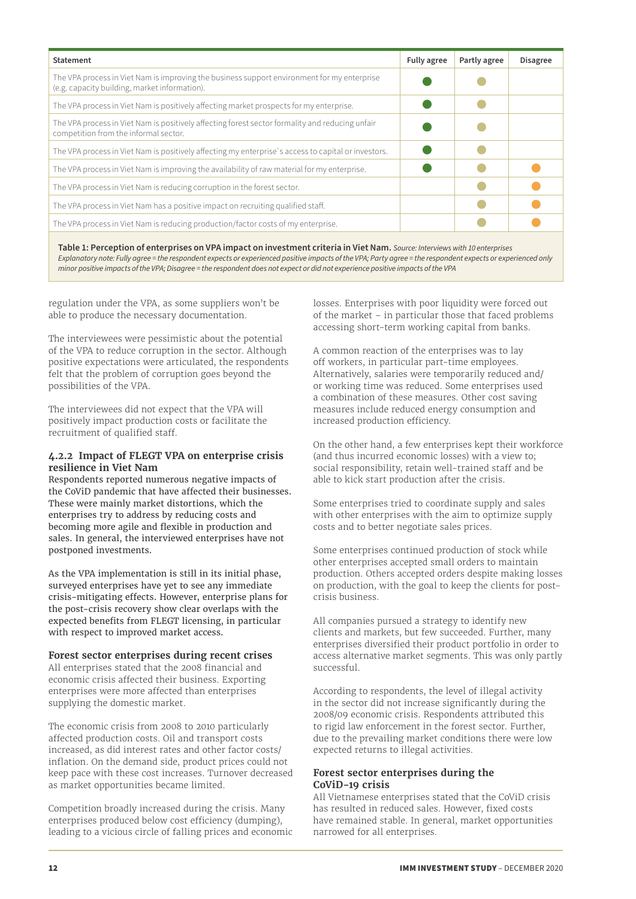<span id="page-11-0"></span>

| <b>Statement</b>                                                                                                                             | Fully agree | Partly agree | <b>Disagree</b> |
|----------------------------------------------------------------------------------------------------------------------------------------------|-------------|--------------|-----------------|
| The VPA process in Viet Nam is improving the business support environment for my enterprise<br>(e.g. capacity building, market information). |             |              |                 |
| The VPA process in Viet Nam is positively affecting market prospects for my enterprise.                                                      |             |              |                 |
| The VPA process in Viet Nam is positively affecting forest sector formality and reducing unfair<br>competition from the informal sector.     |             |              |                 |
| The VPA process in Viet Nam is positively affecting my enterprise's access to capital or investors.                                          |             |              |                 |
| The VPA process in Viet Nam is improving the availability of raw material for my enterprise.                                                 |             |              |                 |
| The VPA process in Viet Nam is reducing corruption in the forest sector.                                                                     |             |              |                 |
| The VPA process in Viet Nam has a positive impact on recruiting qualified staff.                                                             |             |              |                 |
| The VPA process in Viet Nam is reducing production/factor costs of my enterprise.                                                            |             |              |                 |
|                                                                                                                                              |             |              |                 |

**Table 1: Perception of enterprises on VPA impact on investment criteria in Viet Nam.** *Source: Interviews with 10 enterprises Explanatory note: Fully agree = the respondent expects or experienced positive impacts of the VPA; Party agree = the respondent expects or experienced only minor positive impacts of the VPA; Disagree = the respondent does not expect or did not experience positive impacts of the VPA*

regulation under the VPA, as some suppliers won't be able to produce the necessary documentation.

The interviewees were pessimistic about the potential of the VPA to reduce corruption in the sector. Although positive expectations were articulated, the respondents felt that the problem of corruption goes beyond the possibilities of the VPA.

The interviewees did not expect that the VPA will positively impact production costs or facilitate the recruitment of qualified staff.

#### **4.2.2 Impact of FLEGT VPA on enterprise crisis resilience in Viet Nam**

Respondents reported numerous negative impacts of the CoViD pandemic that have affected their businesses. These were mainly market distortions, which the enterprises try to address by reducing costs and becoming more agile and flexible in production and sales. In general, the interviewed enterprises have not postponed investments.

As the VPA implementation is still in its initial phase, surveyed enterprises have yet to see any immediate crisis-mitigating effects. However, enterprise plans for the post-crisis recovery show clear overlaps with the expected benefits from FLEGT licensing, in particular with respect to improved market access.

#### **Forest sector enterprises during recent crises**

All enterprises stated that the 2008 financial and economic crisis affected their business. Exporting enterprises were more affected than enterprises supplying the domestic market.

The economic crisis from 2008 to 2010 particularly affected production costs. Oil and transport costs increased, as did interest rates and other factor costs/ inflation. On the demand side, product prices could not keep pace with these cost increases. Turnover decreased as market opportunities became limited.

Competition broadly increased during the crisis. Many enterprises produced below cost efficiency (dumping), leading to a vicious circle of falling prices and economic losses. Enterprises with poor liquidity were forced out of the market – in particular those that faced problems accessing short-term working capital from banks.

A common reaction of the enterprises was to lay off workers, in particular part-time employees. Alternatively, salaries were temporarily reduced and/ or working time was reduced. Some enterprises used a combination of these measures. Other cost saving measures include reduced energy consumption and increased production efficiency.

On the other hand, a few enterprises kept their workforce (and thus incurred economic losses) with a view to; social responsibility, retain well-trained staff and be able to kick start production after the crisis.

Some enterprises tried to coordinate supply and sales with other enterprises with the aim to optimize supply costs and to better negotiate sales prices.

Some enterprises continued production of stock while other enterprises accepted small orders to maintain production. Others accepted orders despite making losses on production, with the goal to keep the clients for postcrisis business.

All companies pursued a strategy to identify new clients and markets, but few succeeded. Further, many enterprises diversified their product portfolio in order to access alternative market segments. This was only partly successful.

According to respondents, the level of illegal activity in the sector did not increase significantly during the 2008/09 economic crisis. Respondents attributed this to rigid law enforcement in the forest sector. Further, due to the prevailing market conditions there were low expected returns to illegal activities.

#### **Forest sector enterprises during the CoViD-19 crisis**

All Vietnamese enterprises stated that the CoViD crisis has resulted in reduced sales. However, fixed costs have remained stable. In general, market opportunities narrowed for all enterprises.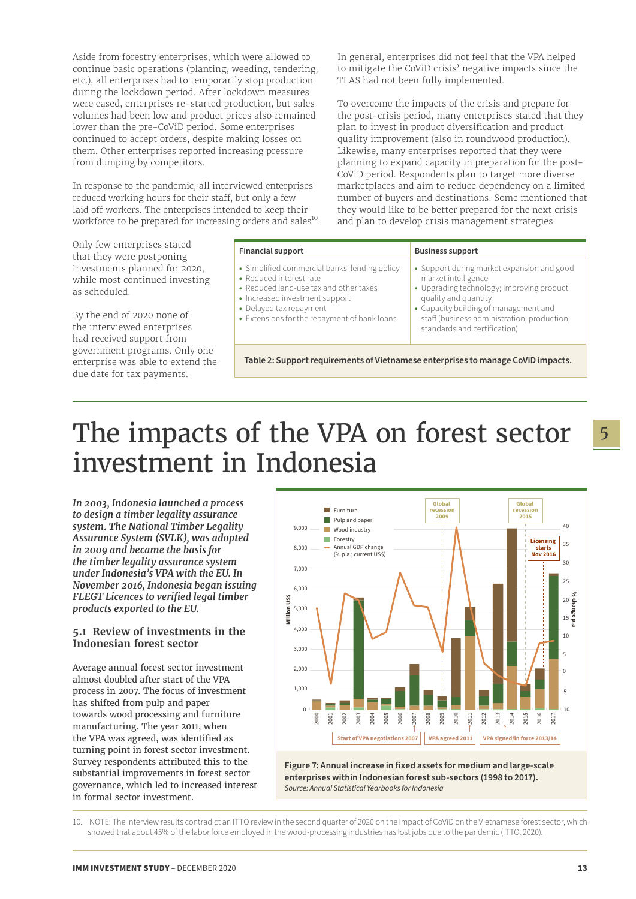<span id="page-12-0"></span>Aside from forestry enterprises, which were allowed to continue basic operations (planting, weeding, tendering, etc.), all enterprises had to temporarily stop production during the lockdown period. After lockdown measures were eased, enterprises re-started production, but sales volumes had been low and product prices also remained lower than the pre-CoViD period. Some enterprises continued to accept orders, despite making losses on them. Other enterprises reported increasing pressure from dumping by competitors.

In response to the pandemic, all interviewed enterprises reduced working hours for their staff, but only a few laid off workers. The enterprises intended to keep their workforce to be prepared for increasing orders and sales<sup>10</sup>.

Only few enterprises stated that they were postponing investments planned for 2020, while most continued investing as scheduled.

By the end of 2020 none of the interviewed enterprises had received support from government programs. Only one enterprise was able to extend the due date for tax payments.

In general, enterprises did not feel that the VPA helped to mitigate the CoViD crisis' negative impacts since the TLAS had not been fully implemented.

To overcome the impacts of the crisis and prepare for the post-crisis period, many enterprises stated that they plan to invest in product diversification and product quality improvement (also in roundwood production). Likewise, many enterprises reported that they were planning to expand capacity in preparation for the post-CoViD period. Respondents plan to target more diverse marketplaces and aim to reduce dependency on a limited number of buyers and destinations. Some mentioned that they would like to be better prepared for the next crisis and plan to develop crisis management strategies.

| <b>Financial support</b>                                                                                                                                                                                                        | <b>Business support</b>                                                                                                                                                                                                                                        |
|---------------------------------------------------------------------------------------------------------------------------------------------------------------------------------------------------------------------------------|----------------------------------------------------------------------------------------------------------------------------------------------------------------------------------------------------------------------------------------------------------------|
| • Simplified commercial banks' lending policy<br>• Reduced interest rate<br>• Reduced land-use tax and other taxes<br>• Increased investment support<br>• Delayed tax repayment<br>• Extensions for the repayment of bank loans | • Support during market expansion and good<br>market intelligence<br>• Upgrading technology; improving product<br>quality and quantity<br>• Capacity building of management and<br>staff (business administration, production,<br>standards and certification) |

**Table 2: Support requirements of Vietnamese enterprises to manage CoViD impacts.**

## The impacts of the VPA on forest sector investment in Indonesia

*In 2003, Indonesia launched a process to design a timber legality assurance system. The National Timber Legality Assurance System (SVLK), was adopted in 2009 and became the basis for the timber legality assurance system under Indonesia's VPA with the EU. In November 2016, Indonesia began issuing FLEGT Licences to verified legal timber products exported to the EU.*

#### **5.1 Review of investments in the Indonesian forest sector**

Average annual forest sector investment almost doubled after start of the VPA process in 2007. The focus of investment has shifted from pulp and paper towards wood processing and furniture manufacturing. The year 2011, when the VPA was agreed, was identified as turning point in forest sector investment. Survey respondents attributed this to the substantial improvements in forest sector governance, which led to increased interest in formal sector investment.



<span id="page-12-1"></span>**Figure 7: Annual increase in fixed assets for medium and large-scale enterprises within Indonesian forest sub-sectors (1998 to 2017).**  *Source: Annual Statistical Yearbooks for Indonesia*

10. NOTE: The interview results contradict an ITTO review in the second quarter of 2020 on the impact of CoViD on the Vietnamese forest sector, which showed that about 45% of the labor force employed in the wood-processing industries has lost jobs due to the pandemic (ITTO, 2020).

5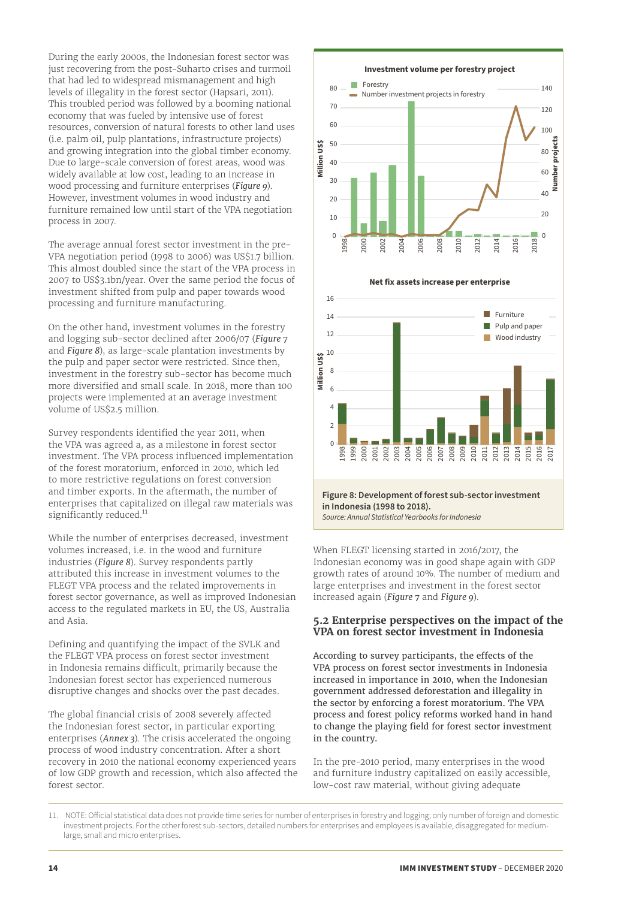<span id="page-13-0"></span>During the early 2000s, the Indonesian forest sector was just recovering from the post-Suharto crises and turmoil that had led to widespread mismanagement and high levels of illegality in the forest sector (Hapsari, 2011). This troubled period was followed by a booming national economy that was fueled by intensive use of forest resources, conversion of natural forests to other land uses (i.e. palm oil, pulp plantations, infrastructure projects) and growing integration into the global timber economy. Due to large-scale conversion of forest areas, wood was widely available at low cost, leading to an increase in wood processing and furniture enterprises (*Figure 9*). However, investment volumes in wood industry and furniture remained low until start of the VPA negotiation process in 2007.

The average annual forest sector investment in the pre-VPA negotiation period (1998 to 2006) was US\$1.7 billion. This almost doubled since the start of the VPA process in 2007 to US\$3.1bn/year. Over the same period the focus of investment shifted from pulp and paper towards wood processing and furniture manufacturing.

On the other hand, investment volumes in the forestry and logging sub-sector declined after 2006/07 (*[Figure 7](#page-12-1)* and *Figure 8*), as large-scale plantation investments by the pulp and paper sector were restricted. Since then, investment in the forestry sub-sector has become much more diversified and small scale. In 2018, more than 100 projects were implemented at an average investment volume of US\$2.5 million.

Survey respondents identified the year 2011, when the VPA was agreed a, as a milestone in forest sector investment. The VPA process influenced implementation of the forest moratorium, enforced in 2010, which led to more restrictive regulations on forest conversion and timber exports. In the aftermath, the number of enterprises that capitalized on illegal raw materials was significantly reduced.<sup>11</sup>

While the number of enterprises decreased, investment volumes increased, i.e. in the wood and furniture industries (*Figure 8*). Survey respondents partly attributed this increase in investment volumes to the FLEGT VPA process and the related improvements in forest sector governance, as well as improved Indonesian access to the regulated markets in EU, the US, Australia and Asia.

Defining and quantifying the impact of the SVLK and the FLEGT VPA process on forest sector investment in Indonesia remains difficult, primarily because the Indonesian forest sector has experienced numerous disruptive changes and shocks over the past decades.

The global financial crisis of 2008 severely affected the Indonesian forest sector, in particular exporting enterprises (*Annex 3*). The crisis accelerated the ongoing process of wood industry concentration. After a short recovery in 2010 the national economy experienced years of low GDP growth and recession, which also affected the forest sector.



**Figure 8: Development of forest sub-sector investment in Indonesia (1998 to 2018).**  *Source: Annual Statistical Yearbooks for Indonesia*

When FLEGT licensing started in 2016/2017, the Indonesian economy was in good shape again with GDP growth rates of around 10%. The number of medium and large enterprises and investment in the forest sector increased again (*[Figure 7](#page-12-1)* and *Figure 9*).

#### **5.2 Enterprise perspectives on the impact of the VPA on forest sector investment in Indonesia**

According to survey participants, the effects of the VPA process on forest sector investments in Indonesia increased in importance in 2010, when the Indonesian government addressed deforestation and illegality in the sector by enforcing a forest moratorium. The VPA process and forest policy reforms worked hand in hand to change the playing field for forest sector investment in the country.

In the pre-2010 period, many enterprises in the wood and furniture industry capitalized on easily accessible, low-cost raw material, without giving adequate

11. NOTE: Official statistical data does not provide time series for number of enterprises in forestry and logging; only number of foreign and domestic investment projects. For the other forest sub-sectors, detailed numbers for enterprises and employees is available, disaggregated for mediumlarge, small and micro enterprises.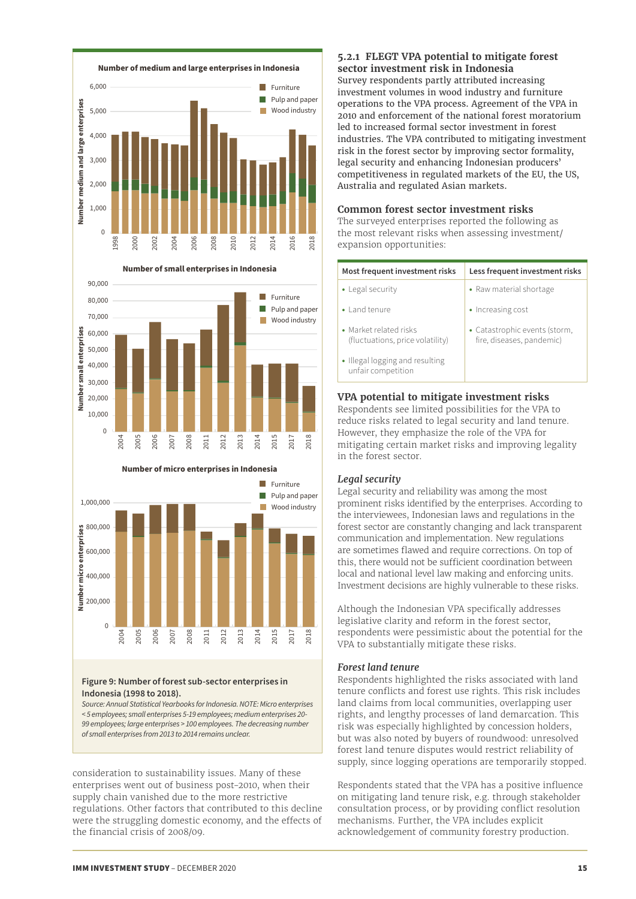<span id="page-14-0"></span>





#### **Number of micro enterprises in Indonesia**

### **Figure 9: Number of forest sub-sector enterprises in Indonesia (1998 to 2018).**

*Source: Annual Statistical Yearbooks for Indonesia. NOTE: Micro enterprises < 5 employees; small enterprises 5-19 employees; medium enterprises 20- 99 employees; large enterprises > 100 employees. The decreasing number of small enterprises from 2013 to 2014 remains unclear.* 

consideration to sustainability issues. Many of these enterprises went out of business post-2010, when their supply chain vanished due to the more restrictive regulations. Other factors that contributed to this decline were the struggling domestic economy, and the effects of the financial crisis of 2008/09.

### **5.2.1 FLEGT VPA potential to mitigate forest sector investment risk in Indonesia**

Survey respondents partly attributed increasing investment volumes in wood industry and furniture operations to the VPA process. Agreement of the VPA in 2010 and enforcement of the national forest moratorium led to increased formal sector investment in forest industries. The VPA contributed to mitigating investment risk in the forest sector by improving sector formality, legal security and enhancing Indonesian producers' competitiveness in regulated markets of the EU, the US, Australia and regulated Asian markets.

## **Common forest sector investment risks**

The surveyed enterprises reported the following as the most relevant risks when assessing investment/ expansion opportunities:

| Most frequent investment risks                             | Less frequent investment risks                             |
|------------------------------------------------------------|------------------------------------------------------------|
| • Legal security                                           | • Raw material shortage                                    |
| • Land tenure                                              | • Increasing cost                                          |
| • Market related risks<br>(fluctuations, price volatility) | • Catastrophic events (storm,<br>fire, diseases, pandemic) |
| • Illegal logging and resulting<br>unfair competition      |                                                            |

## **VPA potential to mitigate investment risks**

Respondents see limited possibilities for the VPA to reduce risks related to legal security and land tenure. However, they emphasize the role of the VPA for mitigating certain market risks and improving legality in the forest sector.

## *Legal security*

Legal security and reliability was among the most prominent risks identified by the enterprises. According to the interviewees, Indonesian laws and regulations in the forest sector are constantly changing and lack transparent communication and implementation. New regulations are sometimes flawed and require corrections. On top of this, there would not be sufficient coordination between local and national level law making and enforcing units. Investment decisions are highly vulnerable to these risks.

Although the Indonesian VPA specifically addresses legislative clarity and reform in the forest sector, respondents were pessimistic about the potential for the VPA to substantially mitigate these risks.

## *Forest land tenure*

Respondents highlighted the risks associated with land tenure conflicts and forest use rights. This risk includes land claims from local communities, overlapping user rights, and lengthy processes of land demarcation. This risk was especially highlighted by concession holders, but was also noted by buyers of roundwood: unresolved forest land tenure disputes would restrict reliability of supply, since logging operations are temporarily stopped.

Respondents stated that the VPA has a positive influence on mitigating land tenure risk, e.g. through stakeholder consultation process, or by providing conflict resolution mechanisms. Further, the VPA includes explicit acknowledgement of community forestry production.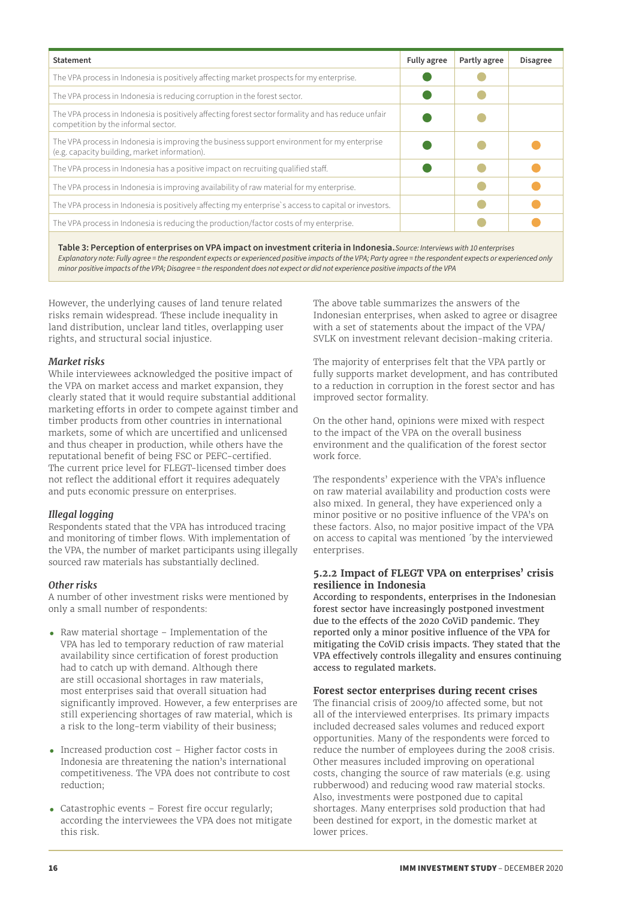<span id="page-15-0"></span>

| <b>Statement</b>                                                                                                                              | Fully agree | Partly agree | <b>Disagree</b> |
|-----------------------------------------------------------------------------------------------------------------------------------------------|-------------|--------------|-----------------|
| The VPA process in Indonesia is positively affecting market prospects for my enterprise.                                                      |             |              |                 |
| The VPA process in Indonesia is reducing corruption in the forest sector.                                                                     |             |              |                 |
| The VPA process in Indonesia is positively affecting forest sector formality and has reduce unfair<br>competition by the informal sector.     |             |              |                 |
| The VPA process in Indonesia is improving the business support environment for my enterprise<br>(e.g. capacity building, market information). |             |              |                 |
| The VPA process in Indonesia has a positive impact on recruiting qualified staff.                                                             |             |              |                 |
| The VPA process in Indonesia is improving availability of raw material for my enterprise.                                                     |             |              |                 |
| The VPA process in Indonesia is positively affecting my enterprise's access to capital or investors.                                          |             |              |                 |
| The VPA process in Indonesia is reducing the production/factor costs of my enterprise.                                                        |             |              |                 |
|                                                                                                                                               |             |              |                 |

**Table 3: Perception of enterprises on VPA impact on investment criteria in Indonesia.***Source: Interviews with 10 enterprises Explanatory note: Fully agree = the respondent expects or experienced positive impacts of the VPA; Party agree = the respondent expects or experienced only minor positive impacts of the VPA; Disagree = the respondent does not expect or did not experience positive impacts of the VPA*

However, the underlying causes of land tenure related risks remain widespread. These include inequality in land distribution, unclear land titles, overlapping user rights, and structural social injustice.

#### *Market risks*

While interviewees acknowledged the positive impact of the VPA on market access and market expansion, they clearly stated that it would require substantial additional marketing efforts in order to compete against timber and timber products from other countries in international markets, some of which are uncertified and unlicensed and thus cheaper in production, while others have the reputational benefit of being FSC or PEFC-certified. The current price level for FLEGT-licensed timber does not reflect the additional effort it requires adequately and puts economic pressure on enterprises.

## *Illegal logging*

Respondents stated that the VPA has introduced tracing and monitoring of timber flows. With implementation of the VPA, the number of market participants using illegally sourced raw materials has substantially declined.

#### *Other risks*

A number of other investment risks were mentioned by only a small number of respondents:

- **•** Raw material shortage Implementation of the VPA has led to temporary reduction of raw material availability since certification of forest production had to catch up with demand. Although there are still occasional shortages in raw materials, most enterprises said that overall situation had significantly improved. However, a few enterprises are still experiencing shortages of raw material, which is a risk to the long-term viability of their business;
- **•** Increased production cost Higher factor costs in Indonesia are threatening the nation's international competitiveness. The VPA does not contribute to cost reduction;
- **•** Catastrophic events Forest fire occur regularly; according the interviewees the VPA does not mitigate this risk.

The above table summarizes the answers of the Indonesian enterprises, when asked to agree or disagree with a set of statements about the impact of the VPA/ SVLK on investment relevant decision-making criteria.

The majority of enterprises felt that the VPA partly or fully supports market development, and has contributed to a reduction in corruption in the forest sector and has improved sector formality.

On the other hand, opinions were mixed with respect to the impact of the VPA on the overall business environment and the qualification of the forest sector work force.

The respondents' experience with the VPA's influence on raw material availability and production costs were also mixed. In general, they have experienced only a minor positive or no positive influence of the VPA's on these factors. Also, no major positive impact of the VPA on access to capital was mentioned ´by the interviewed enterprises.

#### **5.2.2 Impact of FLEGT VPA on enterprises' crisis resilience in Indonesia**

According to respondents, enterprises in the Indonesian forest sector have increasingly postponed investment due to the effects of the 2020 CoViD pandemic. They reported only a minor positive influence of the VPA for mitigating the CoViD crisis impacts. They stated that the VPA effectively controls illegality and ensures continuing access to regulated markets.

## **Forest sector enterprises during recent crises**

The financial crisis of 2009/10 affected some, but not all of the interviewed enterprises. Its primary impacts included decreased sales volumes and reduced export opportunities. Many of the respondents were forced to reduce the number of employees during the 2008 crisis. Other measures included improving on operational costs, changing the source of raw materials (e.g. using rubberwood) and reducing wood raw material stocks. Also, investments were postponed due to capital shortages. Many enterprises sold production that had been destined for export, in the domestic market at lower prices.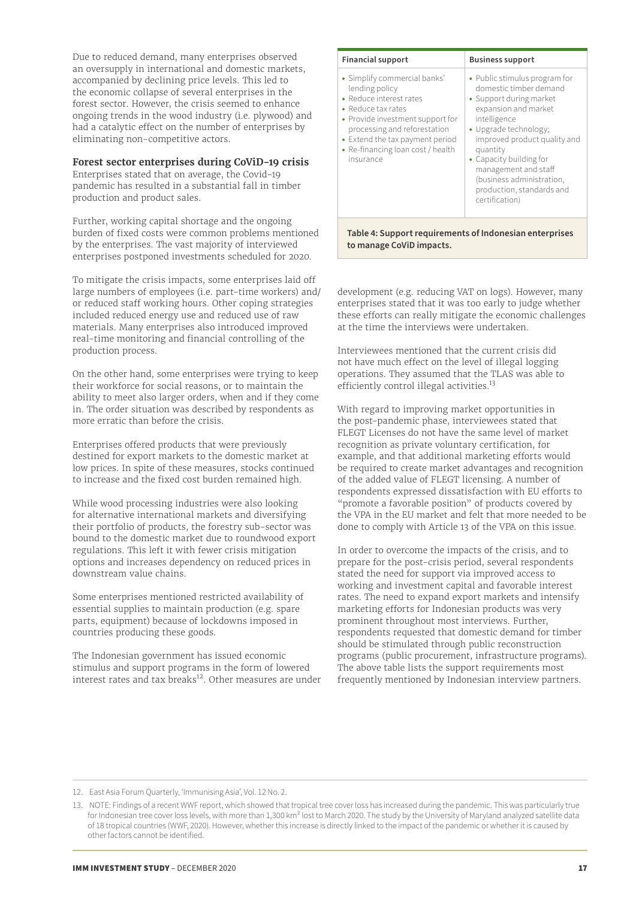<span id="page-16-0"></span>Due to reduced demand, many enterprises observed an oversupply in international and domestic markets, accompanied by declining price levels. This led to the economic collapse of several enterprises in the forest sector. However, the crisis seemed to enhance ongoing trends in the wood industry (i.e. plywood) and had a catalytic effect on the number of enterprises by eliminating non-competitive actors.

#### **Forest sector enterprises during CoViD-19 crisis**

Enterprises stated that on average, the Covid-19 pandemic has resulted in a substantial fall in timber production and product sales.

Further, working capital shortage and the ongoing burden of fixed costs were common problems mentioned by the enterprises. The vast majority of interviewed enterprises postponed investments scheduled for 2020.

To mitigate the crisis impacts, some enterprises laid off large numbers of employees (i.e. part-time workers) and/ or reduced staff working hours. Other coping strategies included reduced energy use and reduced use of raw materials. Many enterprises also introduced improved real-time monitoring and financial controlling of the production process.

On the other hand, some enterprises were trying to keep their workforce for social reasons, or to maintain the ability to meet also larger orders, when and if they come in. The order situation was described by respondents as more erratic than before the crisis.

Enterprises offered products that were previously destined for export markets to the domestic market at low prices. In spite of these measures, stocks continued to increase and the fixed cost burden remained high.

While wood processing industries were also looking for alternative international markets and diversifying their portfolio of products, the forestry sub-sector was bound to the domestic market due to roundwood export regulations. This left it with fewer crisis mitigation options and increases dependency on reduced prices in downstream value chains.

Some enterprises mentioned restricted availability of essential supplies to maintain production (e.g. spare parts, equipment) because of lockdowns imposed in countries producing these goods.

The Indonesian government has issued economic stimulus and support programs in the form of lowered interest rates and tax breaks $12$ . Other measures are under

| <b>Financial support</b>                                                                                                                                                                                                                                 | <b>Business support</b>                                                                                                                                                                                                                                                                                                        |
|----------------------------------------------------------------------------------------------------------------------------------------------------------------------------------------------------------------------------------------------------------|--------------------------------------------------------------------------------------------------------------------------------------------------------------------------------------------------------------------------------------------------------------------------------------------------------------------------------|
| • Simplify commercial banks'<br>lending policy<br>• Reduce interest rates<br>• Reduce tax rates<br>• Provide investment support for<br>processing and reforestation<br>• Extend the tax payment period<br>• Re-financing loan cost / health<br>insurance | • Public stimulus program for<br>domestic timber demand<br>• Support during market<br>expansion and market<br>intelligence<br>• Upgrade technology;<br>improved product quality and<br>quantity<br>• Capacity building for<br>management and staff<br>(business administration,<br>production, standards and<br>certification) |

**Table 4: Support requirements of Indonesian enterprises to manage CoViD impacts.**

development (e.g. reducing VAT on logs). However, many enterprises stated that it was too early to judge whether these efforts can really mitigate the economic challenges at the time the interviews were undertaken.

Interviewees mentioned that the current crisis did not have much effect on the level of illegal logging operations. They assumed that the TLAS was able to efficiently control illegal activities.<sup>13</sup>

With regard to improving market opportunities in the post-pandemic phase, interviewees stated that FLEGT Licenses do not have the same level of market recognition as private voluntary certification, for example, and that additional marketing efforts would be required to create market advantages and recognition of the added value of FLEGT licensing. A number of respondents expressed dissatisfaction with EU efforts to "promote a favorable position" of products covered by the VPA in the EU market and felt that more needed to be done to comply with Article 13 of the VPA on this issue.

In order to overcome the impacts of the crisis, and to prepare for the post-crisis period, several respondents stated the need for support via improved access to working and investment capital and favorable interest rates. The need to expand export markets and intensify marketing efforts for Indonesian products was very prominent throughout most interviews. Further, respondents requested that domestic demand for timber should be stimulated through public reconstruction programs (public procurement, infrastructure programs). The above table lists the support requirements most frequently mentioned by Indonesian interview partners.

12. East Asia Forum Quarterly, 'Immunising Asia', Vol. 12 No. 2.

<sup>13.</sup> NOTE: Findings of a recent WWF report, which showed that tropical tree cover loss has increased during the pandemic. This was particularly true for Indonesian tree cover loss levels, with more than 1,300 km<sup>2</sup> lost to March 2020. The study by the University of Maryland analyzed satellite data of 18 tropical countries (WWF, 2020). However, whether this increase is directly linked to the impact of the pandemic or whether it is caused by other factors cannot be identified.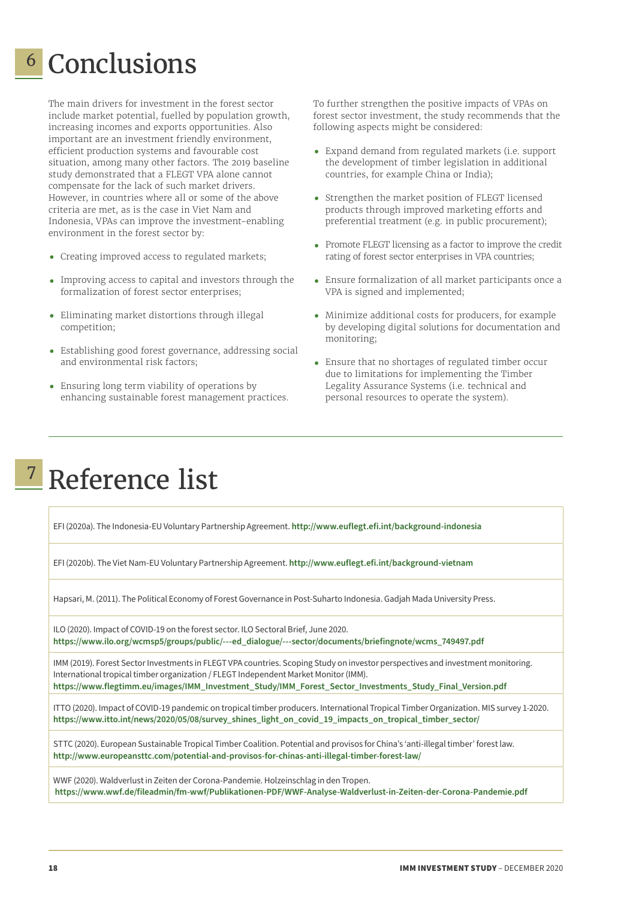## <span id="page-17-0"></span>Conclusions 6

The main drivers for investment in the forest sector include market potential, fuelled by population growth, increasing incomes and exports opportunities. Also important are an investment friendly environment, efficient production systems and favourable cost situation, among many other factors. The 2019 baseline study demonstrated that a FLEGT VPA alone cannot compensate for the lack of such market drivers. However, in countries where all or some of the above criteria are met, as is the case in Viet Nam and Indonesia, VPAs can improve the investment-enabling environment in the forest sector by:

- **•** Creating improved access to regulated markets;
- **•** Improving access to capital and investors through the formalization of forest sector enterprises;
- **•** Eliminating market distortions through illegal competition;
- **•** Establishing good forest governance, addressing social and environmental risk factors;
- **•** Ensuring long term viability of operations by enhancing sustainable forest management practices.

To further strengthen the positive impacts of VPAs on forest sector investment, the study recommends that the following aspects might be considered:

- **•** Expand demand from regulated markets (i.e. support the development of timber legislation in additional countries, for example China or India);
- **•** Strengthen the market position of FLEGT licensed products through improved marketing efforts and preferential treatment (e.g. in public procurement);
- **•** Promote FLEGT licensing as a factor to improve the credit rating of forest sector enterprises in VPA countries;
- **•** Ensure formalization of all market participants once a VPA is signed and implemented;
- **•** Minimize additional costs for producers, for example by developing digital solutions for documentation and monitoring;
- **•** Ensure that no shortages of regulated timber occur due to limitations for implementing the Timber Legality Assurance Systems (i.e. technical and personal resources to operate the system).

## <mark>7</mark> Reference list

EFI (2020a). The Indonesia-EU Voluntary Partnership Agreement. **<http://www.euflegt.efi.int/background-indonesia>**

EFI (2020b). The Viet Nam-EU Voluntary Partnership Agreement. **<http://www.euflegt.efi.int/background-vietnam>**

Hapsari, M. (2011). The Political Economy of Forest Governance in Post-Suharto Indonesia. Gadjah Mada University Press.

ILO (2020). Impact of COVID-19 on the forest sector. ILO Sectoral Brief, June 2020. **[https://www.ilo.org/wcmsp5/groups/public/---ed\\_dialogue/---sector/documents/briefingnote/wcms\\_749497.pdf](https://www.ilo.org/wcmsp5/groups/public/---ed_dialogue/---sector/documents/briefingnote/wcms_749497.pdf)**

IMM (2019). Forest Sector Investments in FLEGT VPA countries. Scoping Study on investor perspectives and investment monitoring. International tropical timber organization / FLEGT Independent Market Monitor (IMM). **[https://www.flegtimm.eu/images/IMM\\_Investment\\_Study/IMM\\_Forest\\_Sector\\_Investments\\_Study\\_Final\\_Version.pdf](https://www.flegtimm.eu/images/IMM_Investment_Study/IMM_Forest_Sector_Investments_Study_Final_Version.pdf)**

ITTO (2020). Impact of COVID-19 pandemic on tropical timber producers. International Tropical Timber Organization. MIS survey 1-2020. **[https://www.itto.int/news/2020/05/08/survey\\_shines\\_light\\_on\\_covid\\_19\\_impacts\\_on\\_tropical\\_timber\\_sector/](https://www.itto.int/news/2020/05/08/survey_shines_light_on_covid_19_impacts_on_tropical_timber_sector/)** 

STTC (2020). European Sustainable Tropical Timber Coalition. Potential and provisos for China's 'anti-illegal timber' forest law. **<http://www.europeansttc.com/potential-and-provisos-for-chinas-anti-illegal-timber-forest-law/>**

WWF (2020). Waldverlust in Zeiten der Corona-Pandemie. Holzeinschlag in den Tropen. **<https://www.wwf.de/fileadmin/fm-wwf/Publikationen-PDF/WWF-Analyse-Waldverlust-in-Zeiten-der-Corona-Pandemie.pdf>**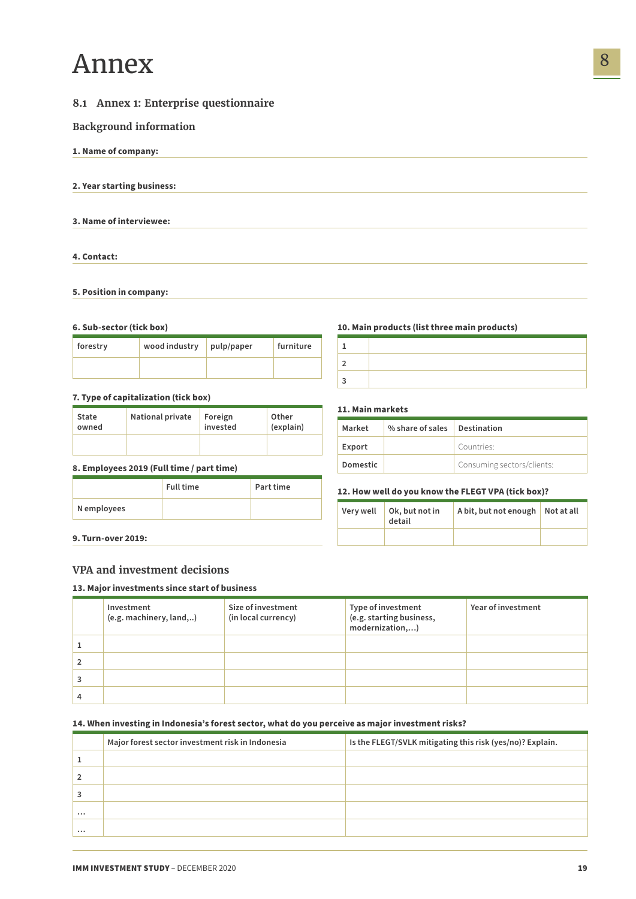## <span id="page-18-0"></span>Annex

## **8.1 Annex 1: Enterprise questionnaire**

### **Background information**

**1. Name of company:** 

**2. Year starting business:** 

**3. Name of interviewee:** 

**4. Contact:** 

#### **5. Position in company:**

#### **6. Sub-sector (tick box)**

| forestry | wood industry $ _{\text{pulp/paper}}$ | furniture |
|----------|---------------------------------------|-----------|
|          |                                       |           |

#### **7. Type of capitalization (tick box)**

| State | <b>National private</b> | Foreign  | Other     |
|-------|-------------------------|----------|-----------|
| owned |                         | invested | (explain) |
|       |                         |          |           |

#### **8. Employees 2019 (Full time / part time)**

|             | <b>Full time</b> | Part time |
|-------------|------------------|-----------|
| N employees |                  |           |

#### **10. Main products (list three main products)**

### **11. Main markets**

| Market   | % share of sales Destination |                            |  |
|----------|------------------------------|----------------------------|--|
| Export   |                              | Countries:                 |  |
| Domestic |                              | Consuming sectors/clients: |  |

#### **12. How well do you know the FLEGT VPA (tick box)?**

| Very well | Ok, but not in<br>detail | A bit, but not enough Not at all |  |
|-----------|--------------------------|----------------------------------|--|
|           |                          |                                  |  |

**9. Turn-over 2019:** 

### **VPA and investment decisions**

#### **13. Major investments since start of business**

| Investment<br>(e.g. machinery, land,) | Size of investment<br>(in local currency) | Type of investment<br>(e.g. starting business,<br>modernization,) | Year of investment |
|---------------------------------------|-------------------------------------------|-------------------------------------------------------------------|--------------------|
|                                       |                                           |                                                                   |                    |
|                                       |                                           |                                                                   |                    |
|                                       |                                           |                                                                   |                    |
|                                       |                                           |                                                                   |                    |

#### **14. When investing in Indonesia's forest sector, what do you perceive as major investment risks?**

|          | Major forest sector investment risk in Indonesia | Is the FLEGT/SVLK mitigating this risk (yes/no)? Explain. |
|----------|--------------------------------------------------|-----------------------------------------------------------|
|          |                                                  |                                                           |
|          |                                                  |                                                           |
|          |                                                  |                                                           |
| $\cdots$ |                                                  |                                                           |
|          |                                                  |                                                           |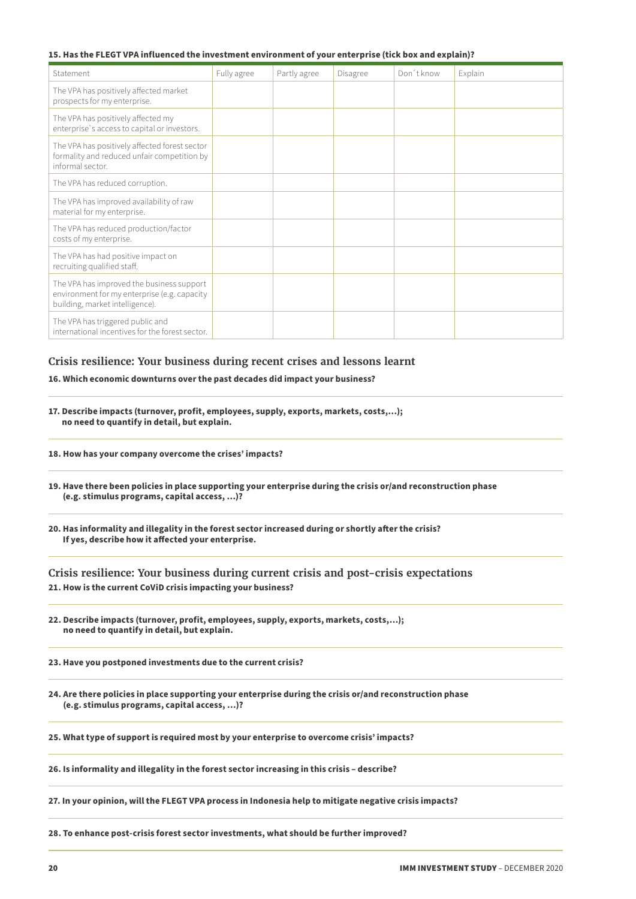#### **15. Has the FLEGT VPA influenced the investment environment of your enterprise (tick box and explain)?**

| Statement                                                                                                                    | Fully agree | Partly agree | Disagree | Don't know | Explain |
|------------------------------------------------------------------------------------------------------------------------------|-------------|--------------|----------|------------|---------|
| The VPA has positively affected market<br>prospects for my enterprise.                                                       |             |              |          |            |         |
| The VPA has positively affected my<br>enterprise's access to capital or investors.                                           |             |              |          |            |         |
| The VPA has positively affected forest sector<br>formality and reduced unfair competition by<br>informal sector.             |             |              |          |            |         |
| The VPA has reduced corruption.                                                                                              |             |              |          |            |         |
| The VPA has improved availability of raw<br>material for my enterprise.                                                      |             |              |          |            |         |
| The VPA has reduced production/factor<br>costs of my enterprise.                                                             |             |              |          |            |         |
| The VPA has had positive impact on<br>recruiting qualified staff.                                                            |             |              |          |            |         |
| The VPA has improved the business support<br>environment for my enterprise (e.g. capacity<br>building, market intelligence). |             |              |          |            |         |
| The VPA has triggered public and<br>international incentives for the forest sector.                                          |             |              |          |            |         |

#### **Crisis resilience: Your business during recent crises and lessons learnt**

**16. Which economic downturns over the past decades did impact your business?**

- **17. Describe impacts (turnover, profit, employees, supply, exports, markets, costs,…); no need to quantify in detail, but explain.**
- **18. How has your company overcome the crises' impacts?**
- **19. Have there been policies in place supporting your enterprise during the crisis or/and reconstruction phase (e.g. stimulus programs, capital access, …)?**
- **20. Has informality and illegality in the forest sector increased during or shortly after the crisis? If yes, describe how it affected your enterprise.**

**Crisis resilience: Your business during current crisis and post-crisis expectations 21. How is the current CoViD crisis impacting your business?**

- **22. Describe impacts (turnover, profit, employees, supply, exports, markets, costs,…); no need to quantify in detail, but explain.**
- **23. Have you postponed investments due to the current crisis?**
- **24. Are there policies in place supporting your enterprise during the crisis or/and reconstruction phase (e.g. stimulus programs, capital access, …)?**

**25. What type of support is required most by your enterprise to overcome crisis' impacts?**

**26. Is informality and illegality in the forest sector increasing in this crisis – describe?**

**27. In your opinion, will the FLEGT VPA process in Indonesia help to mitigate negative crisis impacts?**

**28. To enhance post-crisis forest sector investments, what should be further improved?**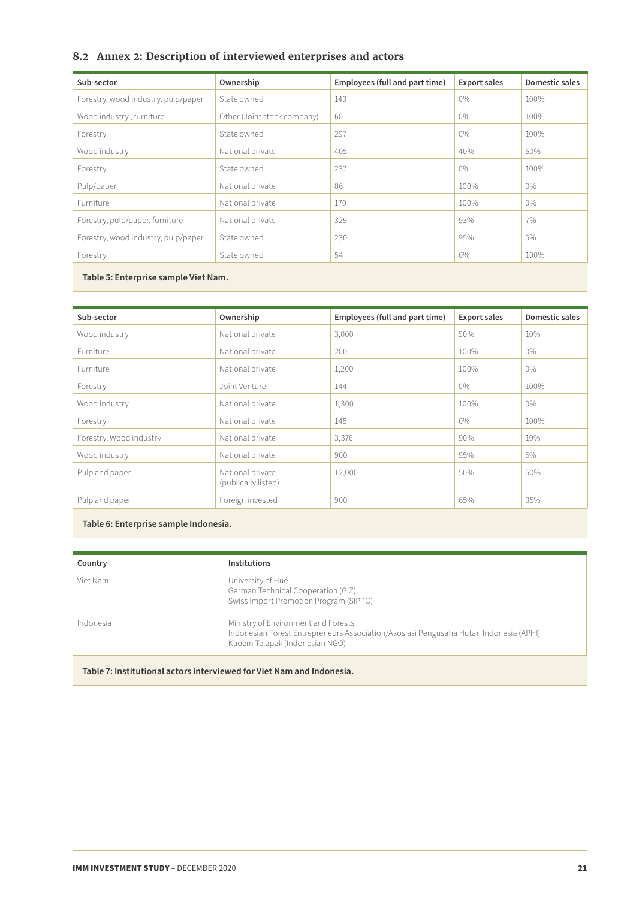## <span id="page-20-0"></span>**8.2 Annex 2: Description of interviewed enterprises and actors**

| Sub-sector                          | Ownership                   | Employees (full and part time) | <b>Export sales</b> | Domestic sales |
|-------------------------------------|-----------------------------|--------------------------------|---------------------|----------------|
| Forestry, wood industry, pulp/paper | State owned                 | 143                            | 0%                  | 100%           |
| Wood industry, furniture            | Other (Joint stock company) | 60                             | $0\%$               | 100%           |
| Forestry                            | State owned                 | 297                            | 0%                  | 100%           |
| Wood industry                       | National private            | 405                            | 40%                 | 60%            |
| Forestry                            | State owned                 | 237                            | $0\%$               | 100%           |
| Pulp/paper                          | National private            | 86                             | 100%                | $0\%$          |
| Furniture                           | National private            | 170                            | 100%                | 0%             |
| Forestry, pulp/paper, furniture     | National private            | 329                            | 93%                 | 7%             |
| Forestry, wood industry, pulp/paper | State owned                 | 230                            | 95%                 | 5%             |
| Forestry                            | State owned                 | 54                             | $0\%$               | 100%           |

**Table 5: Enterprise sample Viet Nam.**

| Sub-sector              | Ownership                               | Employees (full and part time) | <b>Export sales</b> | <b>Domestic sales</b> |
|-------------------------|-----------------------------------------|--------------------------------|---------------------|-----------------------|
| Wood industry           | National private                        | 3,000                          | 90%                 | 10%                   |
| Furniture               | National private                        | 200                            | 100%                | $0\%$                 |
| Furniture               | National private                        | 1,200                          | 100%                | $0\%$                 |
| Forestry                | Joint Venture                           | 144                            | $0\%$               | 100%                  |
| Wood industry           | National private                        | 1,300                          | 100%                | $0\%$                 |
| Forestry                | National private                        | 148                            | 0%                  | 100%                  |
| Forestry, Wood industry | National private                        | 3,376                          | 90%                 | 10%                   |
| Wood industry           | National private                        | 900                            | 95%                 | 5%                    |
| Pulp and paper          | National private<br>(publically listed) | 12,000                         | 50%                 | 50%                   |
| Pulp and paper          | Foreign invested                        | 900                            | 65%                 | 35%                   |
|                         |                                         |                                |                     |                       |

**Table 6: Enterprise sample Indonesia.**

| Country   | <b>Institutions</b>                                                                                                                                            |
|-----------|----------------------------------------------------------------------------------------------------------------------------------------------------------------|
| Viet Nam  | University of Hué<br>German Technical Cooperation (GIZ)<br>Swiss Import Promotion Program (SIPPO)                                                              |
| Indonesia | Ministry of Environment and Forests<br>Indonesian Forest Entrepreneurs Association/Asosiasi Pengusaha Hutan Indonesia (APHI)<br>Kaoem Telapak (Indonesian NGO) |

**Table 7: Institutional actors interviewed for Viet Nam and Indonesia.**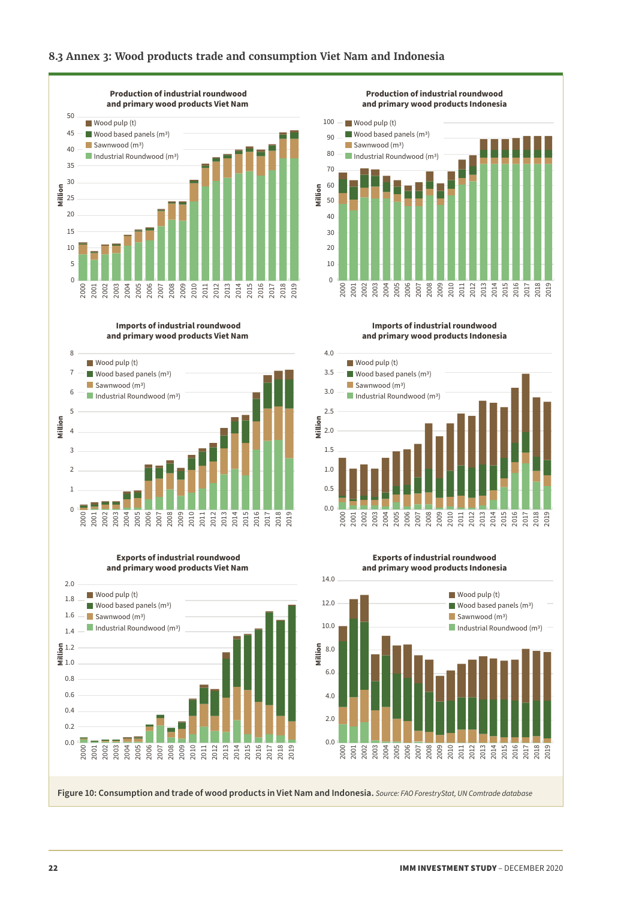## <span id="page-21-0"></span>**8.3 Annex 3: Wood products trade and consumption Viet Nam and Indonesia**



**Imports of industrial roundwood and primary wood products Viet Nam** 



**Exports of industrial roundwood and primary wood products Viet Nam** 



**Exports of industrial roundwood**

**and primary wood products Indonesia**



**Figure 10: Consumption and trade of wood products in Viet Nam and Indonesia.** *Source: FAO ForestryStat, UN Comtrade database*

**Imports of industrial roundwood**

**Production of industrial roundwood and primary wood products Indonesia**

2017 2018 2019

 2014 

Wood pulp (t)  $\blacksquare$  Wood based panels (m<sup>3</sup>)

Industrial Roundwood (m<sup>3</sup>)  $\Box$  Sawnwood (m<sup>3</sup>)

**and primary wood products Indonesia**

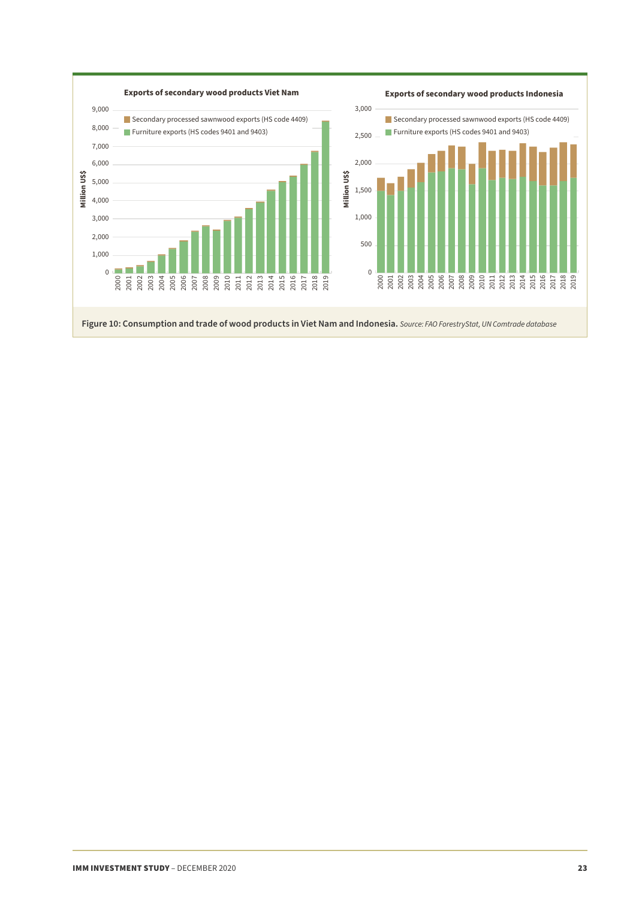